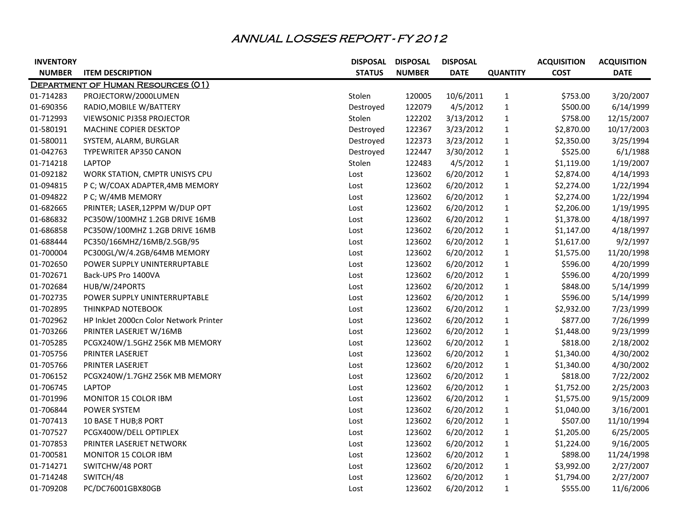## ANNUAL LOSSES REPORT - FY 2012

| <b>INVENTORY</b> |                                           | <b>DISPOSAL</b> | <b>DISPOSAL</b> | <b>DISPOSAL</b> |                 | <b>ACQUISITION</b> | <b>ACQUISITION</b> |
|------------------|-------------------------------------------|-----------------|-----------------|-----------------|-----------------|--------------------|--------------------|
| <b>NUMBER</b>    | <b>ITEM DESCRIPTION</b>                   | <b>STATUS</b>   | <b>NUMBER</b>   | <b>DATE</b>     | <b>QUANTITY</b> | <b>COST</b>        | <b>DATE</b>        |
|                  | <b>DEPARTMENT OF HUMAN RESOURCES (01)</b> |                 |                 |                 |                 |                    |                    |
| 01-714283        | PROJECTORW/2000LUMEN                      | Stolen          | 120005          | 10/6/2011       | $\mathbf{1}$    | \$753.00           | 3/20/2007          |
| 01-690356        | RADIO, MOBILE W/BATTERY                   | Destroyed       | 122079          | 4/5/2012        | $\mathbf{1}$    | \$500.00           | 6/14/1999          |
| 01-712993        | <b>VIEWSONIC PJ358 PROJECTOR</b>          | Stolen          | 122202          | 3/13/2012       | $\mathbf{1}$    | \$758.00           | 12/15/2007         |
| 01-580191        | MACHINE COPIER DESKTOP                    | Destroyed       | 122367          | 3/23/2012       | $\mathbf{1}$    | \$2,870.00         | 10/17/2003         |
| 01-580011        | SYSTEM, ALARM, BURGLAR                    | Destroyed       | 122373          | 3/23/2012       | $\mathbf{1}$    | \$2,350.00         | 3/25/1994          |
| 01-042763        | TYPEWRITER AP350 CANON                    | Destroyed       | 122447          | 3/30/2012       | $\mathbf{1}$    | \$525.00           | 6/1/1988           |
| 01-714218        | <b>LAPTOP</b>                             | Stolen          | 122483          | 4/5/2012        | $\mathbf{1}$    | \$1,119.00         | 1/19/2007          |
| 01-092182        | WORK STATION, CMPTR UNISYS CPU            | Lost            | 123602          | 6/20/2012       | $\mathbf{1}$    | \$2,874.00         | 4/14/1993          |
| 01-094815        | P C; W/COAX ADAPTER, 4MB MEMORY           | Lost            | 123602          | 6/20/2012       | $\mathbf{1}$    | \$2,274.00         | 1/22/1994          |
| 01-094822        | P C; W/4MB MEMORY                         | Lost            | 123602          | 6/20/2012       | $\mathbf{1}$    | \$2,274.00         | 1/22/1994          |
| 01-682665        | PRINTER; LASER, 12PPM W/DUP OPT           | Lost            | 123602          | 6/20/2012       | $\mathbf{1}$    | \$2,206.00         | 1/19/1995          |
| 01-686832        | PC350W/100MHZ 1.2GB DRIVE 16MB            | Lost            | 123602          | 6/20/2012       | $\mathbf{1}$    | \$1,378.00         | 4/18/1997          |
| 01-686858        | PC350W/100MHZ 1.2GB DRIVE 16MB            | Lost            | 123602          | 6/20/2012       | $\mathbf{1}$    | \$1,147.00         | 4/18/1997          |
| 01-688444        | PC350/166MHZ/16MB/2.5GB/95                | Lost            | 123602          | 6/20/2012       | $\mathbf{1}$    | \$1,617.00         | 9/2/1997           |
| 01-700004        | PC300GL/W/4.2GB/64MB MEMORY               | Lost            | 123602          | 6/20/2012       | $\mathbf{1}$    | \$1,575.00         | 11/20/1998         |
| 01-702650        | POWER SUPPLY UNINTERRUPTABLE              | Lost            | 123602          | 6/20/2012       | 1               | \$596.00           | 4/20/1999          |
| 01-702671        | Back-UPS Pro 1400VA                       | Lost            | 123602          | 6/20/2012       | $\mathbf{1}$    | \$596.00           | 4/20/1999          |
| 01-702684        | HUB/W/24PORTS                             | Lost            | 123602          | 6/20/2012       | $\mathbf{1}$    | \$848.00           | 5/14/1999          |
| 01-702735        | POWER SUPPLY UNINTERRUPTABLE              | Lost            | 123602          | 6/20/2012       | $\mathbf{1}$    | \$596.00           | 5/14/1999          |
| 01-702895        | THINKPAD NOTEBOOK                         | Lost            | 123602          | 6/20/2012       | $\mathbf{1}$    | \$2,932.00         | 7/23/1999          |
| 01-702962        | HP InkJet 2000cn Color Network Printer    | Lost            | 123602          | 6/20/2012       | $\mathbf{1}$    | \$877.00           | 7/26/1999          |
| 01-703266        | PRINTER LASERJET W/16MB                   | Lost            | 123602          | 6/20/2012       | $\mathbf{1}$    | \$1,448.00         | 9/23/1999          |
| 01-705285        | PCGX240W/1.5GHZ 256K MB MEMORY            | Lost            | 123602          | 6/20/2012       | $\mathbf{1}$    | \$818.00           | 2/18/2002          |
| 01-705756        | PRINTER LASERJET                          | Lost            | 123602          | 6/20/2012       | $\mathbf{1}$    | \$1,340.00         | 4/30/2002          |
| 01-705766        | PRINTER LASERJET                          | Lost            | 123602          | 6/20/2012       | $\mathbf{1}$    | \$1,340.00         | 4/30/2002          |
| 01-706152        | PCGX240W/1.7GHZ 256K MB MEMORY            | Lost            | 123602          | 6/20/2012       | $\mathbf{1}$    | \$818.00           | 7/22/2002          |
| 01-706745        | <b>LAPTOP</b>                             | Lost            | 123602          | 6/20/2012       | $\mathbf{1}$    | \$1,752.00         | 2/25/2003          |
| 01-701996        | MONITOR 15 COLOR IBM                      | Lost            | 123602          | 6/20/2012       | $\mathbf{1}$    | \$1,575.00         | 9/15/2009          |
| 01-706844        | POWER SYSTEM                              | Lost            | 123602          | 6/20/2012       | $\mathbf{1}$    | \$1,040.00         | 3/16/2001          |
| 01-707413        | 10 BASE T HUB;8 PORT                      | Lost            | 123602          | 6/20/2012       | 1               | \$507.00           | 11/10/1994         |
| 01-707527        | PCGX400W/DELL OPTIPLEX                    | Lost            | 123602          | 6/20/2012       | 1               | \$1,205.00         | 6/25/2005          |
| 01-707853        | PRINTER LASERJET NETWORK                  | Lost            | 123602          | 6/20/2012       | 1               | \$1,224.00         | 9/16/2005          |
| 01-700581        | MONITOR 15 COLOR IBM                      | Lost            | 123602          | 6/20/2012       | 1               | \$898.00           | 11/24/1998         |
| 01-714271        | SWITCHW/48 PORT                           | Lost            | 123602          | 6/20/2012       | $\mathbf{1}$    | \$3,992.00         | 2/27/2007          |
| 01-714248        | SWITCH/48                                 | Lost            | 123602          | 6/20/2012       | $\mathbf{1}$    | \$1,794.00         | 2/27/2007          |
| 01-709208        | PC/DC76001GBX80GB                         | Lost            | 123602          | 6/20/2012       | $\mathbf{1}$    | \$555.00           | 11/6/2006          |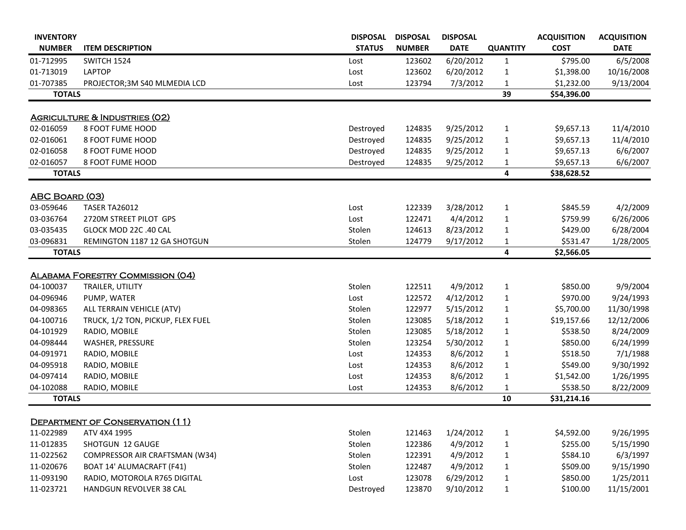| <b>INVENTORY</b>       |                                                           | <b>DISPOSAL</b> | <b>DISPOSAL</b>  | <b>DISPOSAL</b>       |                 | <b>ACQUISITION</b>     | <b>ACQUISITION</b> |
|------------------------|-----------------------------------------------------------|-----------------|------------------|-----------------------|-----------------|------------------------|--------------------|
| <b>NUMBER</b>          | <b>ITEM DESCRIPTION</b>                                   | <b>STATUS</b>   | <b>NUMBER</b>    | <b>DATE</b>           | <b>QUANTITY</b> | <b>COST</b>            | <b>DATE</b>        |
| 01-712995              | SWITCH 1524                                               | Lost            | 123602           | 6/20/2012             | $\mathbf{1}$    | \$795.00               | 6/5/2008           |
| 01-713019              | <b>LAPTOP</b>                                             | Lost            | 123602           | 6/20/2012             | 1               | \$1,398.00             | 10/16/2008         |
| 01-707385              | PROJECTOR;3M S40 MLMEDIA LCD                              | Lost            | 123794           | 7/3/2012              | 1               | \$1,232.00             | 9/13/2004          |
| <b>TOTALS</b>          |                                                           |                 |                  |                       | 39              | \$54,396.00            |                    |
|                        | <b>AGRICULTURE &amp; INDUSTRIES (02)</b>                  |                 |                  |                       |                 |                        |                    |
| 02-016059              | 8 FOOT FUME HOOD                                          | Destroyed       | 124835           | 9/25/2012             | $\mathbf{1}$    | \$9,657.13             | 11/4/2010          |
| 02-016061              | 8 FOOT FUME HOOD                                          | Destroyed       | 124835           | 9/25/2012             | $\mathbf{1}$    | \$9,657.13             | 11/4/2010          |
| 02-016058              | 8 FOOT FUME HOOD                                          | Destroyed       | 124835           | 9/25/2012             | $\mathbf{1}$    | \$9,657.13             | 6/6/2007           |
| 02-016057              | 8 FOOT FUME HOOD                                          | Destroyed       | 124835           | 9/25/2012             | $\mathbf{1}$    | \$9,657.13             | 6/6/2007           |
| <b>TOTALS</b>          |                                                           |                 |                  |                       | 4               | \$38,628.52            |                    |
|                        |                                                           |                 |                  |                       |                 |                        |                    |
| <b>ABC BOARD (03)</b>  |                                                           |                 |                  |                       |                 |                        |                    |
| 03-059646              | TASER TA26012                                             | Lost            | 122339           | 3/28/2012             | $\mathbf{1}$    | \$845.59               | 4/2/2009           |
| 03-036764              | 2720M STREET PILOT GPS                                    | Lost            | 122471           | 4/4/2012              | $\mathbf{1}$    | \$759.99               | 6/26/2006          |
| 03-035435              | GLOCK MOD 22C .40 CAL                                     | Stolen          | 124613           | 8/23/2012             | $\mathbf{1}$    | \$429.00               | 6/28/2004          |
| 03-096831              | REMINGTON 1187 12 GA SHOTGUN                              | Stolen          | 124779           | 9/17/2012             | $\mathbf{1}$    | \$531.47               | 1/28/2005          |
| <b>TOTALS</b>          |                                                           |                 |                  |                       | 4               | \$2,566.05             |                    |
|                        |                                                           |                 |                  |                       |                 |                        |                    |
|                        | <b>ALABAMA FORESTRY COMMISSION (04)</b>                   |                 |                  |                       |                 |                        |                    |
| 04-100037              | TRAILER, UTILITY                                          | Stolen          | 122511           | 4/9/2012              | $\mathbf{1}$    | \$850.00               | 9/9/2004           |
| 04-096946              | PUMP, WATER                                               | Lost            | 122572           | 4/12/2012             | $\mathbf{1}$    | \$970.00               | 9/24/1993          |
| 04-098365              | ALL TERRAIN VEHICLE (ATV)                                 | Stolen          | 122977           | 5/15/2012             | $\mathbf{1}$    | \$5,700.00             | 11/30/1998         |
| 04-100716              | TRUCK, 1/2 TON, PICKUP, FLEX FUEL                         | Stolen          | 123085           | 5/18/2012             | $\mathbf{1}$    | \$19,157.66            | 12/12/2006         |
| 04-101929              | RADIO, MOBILE                                             | Stolen          | 123085           | 5/18/2012             | $\mathbf{1}$    | \$538.50               | 8/24/2009          |
| 04-098444              | <b>WASHER, PRESSURE</b>                                   | Stolen          | 123254           | 5/30/2012             | $\mathbf{1}$    | \$850.00               | 6/24/1999          |
| 04-091971              | RADIO, MOBILE                                             | Lost            | 124353           | 8/6/2012              | 1               | \$518.50               | 7/1/1988           |
| 04-095918              | RADIO, MOBILE                                             | Lost            | 124353           | 8/6/2012              | 1               | \$549.00               | 9/30/1992          |
| 04-097414              | RADIO, MOBILE                                             | Lost            | 124353           | 8/6/2012              | 1               | \$1,542.00             | 1/26/1995          |
| 04-102088              | RADIO, MOBILE                                             | Lost            | 124353           | 8/6/2012              | $\mathbf{1}$    | \$538.50               | 8/22/2009          |
| <b>TOTALS</b>          |                                                           |                 |                  |                       | 10              | \$31,214.16            |                    |
|                        | DEPARTMENT OF CONSERVATION (11)                           |                 |                  |                       |                 |                        |                    |
| 11-022989              | ATV 4X4 1995                                              | Stolen          | 121463           | 1/24/2012             |                 |                        | 9/26/1995          |
| 11-012835              | SHOTGUN 12 GAUGE                                          | Stolen          | 122386           | 4/9/2012              | $\mathbf{1}$    | \$4,592.00<br>\$255.00 | 5/15/1990          |
|                        |                                                           |                 |                  |                       | $\mathbf{1}$    |                        |                    |
| 11-022562<br>11-020676 | COMPRESSOR AIR CRAFTSMAN (W34)                            | Stolen          | 122391<br>122487 | 4/9/2012              | $\mathbf{1}$    | \$584.10<br>\$509.00   | 6/3/1997           |
| 11-093190              | BOAT 14' ALUMACRAFT (F41)<br>RADIO, MOTOROLA R765 DIGITAL | Stolen<br>Lost  |                  | 4/9/2012<br>6/29/2012 | $\mathbf{1}$    | \$850.00               | 9/15/1990          |
|                        |                                                           |                 | 123078           |                       | $\mathbf{1}$    |                        | 1/25/2011          |
| 11-023721              | HANDGUN REVOLVER 38 CAL                                   | Destroyed       | 123870           | 9/10/2012             | $\mathbf{1}$    | \$100.00               | 11/15/2001         |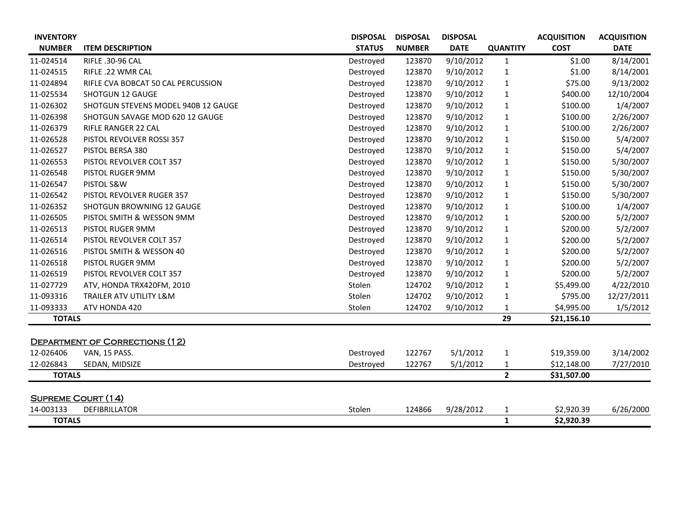| <b>INVENTORY</b>          |                                       | <b>DISPOSAL</b> | <b>DISPOSAL</b> | <b>DISPOSAL</b> |                 | <b>ACQUISITION</b> | <b>ACQUISITION</b> |
|---------------------------|---------------------------------------|-----------------|-----------------|-----------------|-----------------|--------------------|--------------------|
| <b>NUMBER</b>             | <b>ITEM DESCRIPTION</b>               | <b>STATUS</b>   | <b>NUMBER</b>   | <b>DATE</b>     | <b>QUANTITY</b> | <b>COST</b>        | <b>DATE</b>        |
| 11-024514                 | RIFLE .30-96 CAL                      | Destroyed       | 123870          | 9/10/2012       | $\mathbf{1}$    | \$1.00             | 8/14/2001          |
| 11-024515                 | RIFLE .22 WMR CAL                     | Destroyed       | 123870          | 9/10/2012       | $\mathbf{1}$    | \$1.00             | 8/14/2001          |
| 11-024894                 | RIFLE CVA BOBCAT 50 CAL PERCUSSION    | Destroyed       | 123870          | 9/10/2012       | $\mathbf{1}$    | \$75.00            | 9/13/2002          |
| 11-025534                 | <b>SHOTGUN 12 GAUGE</b>               | Destroyed       | 123870          | 9/10/2012       | $\mathbf{1}$    | \$400.00           | 12/10/2004         |
| 11-026302                 | SHOTGUN STEVENS MODEL 940B 12 GAUGE   | Destroyed       | 123870          | 9/10/2012       | $\mathbf{1}$    | \$100.00           | 1/4/2007           |
| 11-026398                 | SHOTGUN SAVAGE MOD 620 12 GAUGE       | Destroyed       | 123870          | 9/10/2012       | $\mathbf{1}$    | \$100.00           | 2/26/2007          |
| 11-026379                 | RIFLE RANGER 22 CAL                   | Destroyed       | 123870          | 9/10/2012       | $\mathbf{1}$    | \$100.00           | 2/26/2007          |
| 11-026528                 | PISTOL REVOLVER ROSSI 357             | Destroyed       | 123870          | 9/10/2012       | $\mathbf{1}$    | \$150.00           | 5/4/2007           |
| 11-026527                 | PISTOL BERSA 380                      | Destroyed       | 123870          | 9/10/2012       | $\mathbf{1}$    | \$150.00           | 5/4/2007           |
| 11-026553                 | PISTOL REVOLVER COLT 357              | Destroyed       | 123870          | 9/10/2012       | $\mathbf{1}$    | \$150.00           | 5/30/2007          |
| 11-026548                 | PISTOL RUGER 9MM                      | Destroyed       | 123870          | 9/10/2012       | $\mathbf{1}$    | \$150.00           | 5/30/2007          |
| 11-026547                 | PISTOL S&W                            | Destroyed       | 123870          | 9/10/2012       | $\mathbf{1}$    | \$150.00           | 5/30/2007          |
| 11-026542                 | PISTOL REVOLVER RUGER 357             | Destroyed       | 123870          | 9/10/2012       | $\mathbf{1}$    | \$150.00           | 5/30/2007          |
| 11-026352                 | SHOTGUN BROWNING 12 GAUGE             | Destroyed       | 123870          | 9/10/2012       | $\mathbf{1}$    | \$100.00           | 1/4/2007           |
| 11-026505                 | PISTOL SMITH & WESSON 9MM             | Destroyed       | 123870          | 9/10/2012       | $\mathbf{1}$    | \$200.00           | 5/2/2007           |
| 11-026513                 | PISTOL RUGER 9MM                      | Destroyed       | 123870          | 9/10/2012       | $\mathbf{1}$    | \$200.00           | 5/2/2007           |
| 11-026514                 | PISTOL REVOLVER COLT 357              | Destroyed       | 123870          | 9/10/2012       | $\mathbf{1}$    | \$200.00           | 5/2/2007           |
| 11-026516                 | PISTOL SMITH & WESSON 40              | Destroyed       | 123870          | 9/10/2012       | $\mathbf{1}$    | \$200.00           | 5/2/2007           |
| 11-026518                 | PISTOL RUGER 9MM                      | Destroyed       | 123870          | 9/10/2012       | $\mathbf{1}$    | \$200.00           | 5/2/2007           |
| 11-026519                 | PISTOL REVOLVER COLT 357              | Destroyed       | 123870          | 9/10/2012       | $\mathbf{1}$    | \$200.00           | 5/2/2007           |
| 11-027729                 | ATV, HONDA TRX420FM, 2010             | Stolen          | 124702          | 9/10/2012       | $\mathbf{1}$    | \$5,499.00         | 4/22/2010          |
| 11-093316                 | TRAILER ATV UTILITY L&M               | Stolen          | 124702          | 9/10/2012       | $\mathbf{1}$    | \$795.00           | 12/27/2011         |
| 11-093333                 | ATV HONDA 420                         | Stolen          | 124702          | 9/10/2012       | $\mathbf{1}$    | \$4,995.00         | 1/5/2012           |
| <b>TOTALS</b>             |                                       |                 |                 |                 | 29              | \$21,156.10        |                    |
|                           |                                       |                 |                 |                 |                 |                    |                    |
|                           | <b>DEPARTMENT OF CORRECTIONS (12)</b> |                 |                 |                 |                 |                    |                    |
| 12-026406                 | VAN, 15 PASS.                         | Destroyed       | 122767          | 5/1/2012        | $\mathbf{1}$    | \$19,359.00        | 3/14/2002          |
| 12-026843                 | SEDAN, MIDSIZE                        | Destroyed       | 122767          | 5/1/2012        | 1               | \$12,148.00        | 7/27/2010          |
| <b>TOTALS</b>             |                                       |                 |                 |                 | $\mathbf{2}$    | \$31,507.00        |                    |
| <b>SUPREME COURT (14)</b> |                                       |                 |                 |                 |                 |                    |                    |
| 14-003133                 | <b>DEFIBRILLATOR</b>                  | Stolen          | 124866          | 9/28/2012       | 1               | \$2,920.39         | 6/26/2000          |
| <b>TOTALS</b>             |                                       |                 |                 |                 | $\mathbf{1}$    | \$2,920.39         |                    |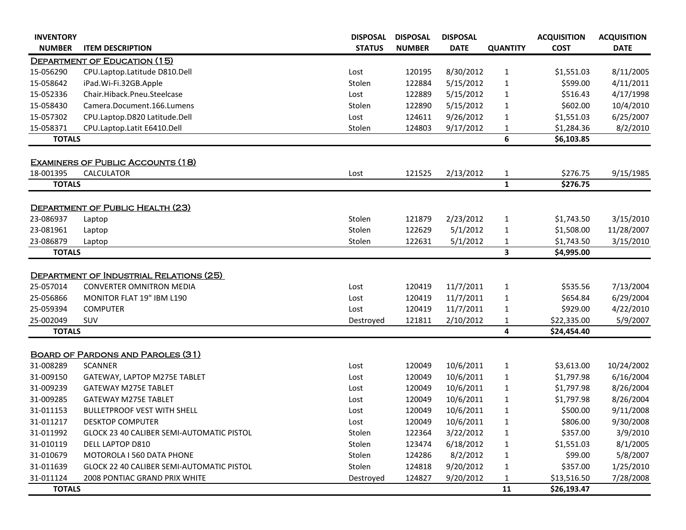| <b>INVENTORY</b> |                                           | <b>DISPOSAL</b> | <b>DISPOSAL</b> | <b>DISPOSAL</b> |                 | <b>ACQUISITION</b> | <b>ACQUISITION</b> |
|------------------|-------------------------------------------|-----------------|-----------------|-----------------|-----------------|--------------------|--------------------|
| <b>NUMBER</b>    | <b>ITEM DESCRIPTION</b>                   | <b>STATUS</b>   | <b>NUMBER</b>   | <b>DATE</b>     | <b>QUANTITY</b> | <b>COST</b>        | <b>DATE</b>        |
|                  | DEPARTMENT OF EDUCATION (15)              |                 |                 |                 |                 |                    |                    |
| 15-056290        | CPU.Laptop.Latitude D810.Dell             | Lost            | 120195          | 8/30/2012       | $\mathbf{1}$    | \$1,551.03         | 8/11/2005          |
| 15-058642        | iPad.Wi-Fi.32GB.Apple                     | Stolen          | 122884          | 5/15/2012       | $\mathbf{1}$    | \$599.00           | 4/11/2011          |
| 15-052336        | Chair.Hiback.Pneu.Steelcase               | Lost            | 122889          | 5/15/2012       | $\mathbf{1}$    | \$516.43           | 4/17/1998          |
| 15-058430        | Camera.Document.166.Lumens                | Stolen          | 122890          | 5/15/2012       | $\mathbf{1}$    | \$602.00           | 10/4/2010          |
| 15-057302        | CPU.Laptop.D820 Latitude.Dell             | Lost            | 124611          | 9/26/2012       | 1               | \$1,551.03         | 6/25/2007          |
| 15-058371        | CPU.Laptop.Latit E6410.Dell               | Stolen          | 124803          | 9/17/2012       | 1               | \$1,284.36         | 8/2/2010           |
| <b>TOTALS</b>    |                                           |                 |                 |                 | 6               | \$6,103.85         |                    |
|                  | <b>EXAMINERS OF PUBLIC ACCOUNTS (18)</b>  |                 |                 |                 |                 |                    |                    |
| 18-001395        | <b>CALCULATOR</b>                         | Lost            | 121525          | 2/13/2012       | $\mathbf{1}$    | \$276.75           | 9/15/1985          |
| <b>TOTALS</b>    |                                           |                 |                 |                 | $\mathbf{1}$    | \$276.75           |                    |
|                  |                                           |                 |                 |                 |                 |                    |                    |
|                  | <b>DEPARTMENT OF PUBLIC HEALTH (23)</b>   |                 |                 |                 |                 |                    |                    |
| 23-086937        | Laptop                                    | Stolen          | 121879          | 2/23/2012       | $\mathbf{1}$    | \$1,743.50         | 3/15/2010          |
| 23-081961        | Laptop                                    | Stolen          | 122629          | 5/1/2012        | 1               | \$1,508.00         | 11/28/2007         |
| 23-086879        | Laptop                                    | Stolen          | 122631          | 5/1/2012        | $\mathbf{1}$    | \$1,743.50         | 3/15/2010          |
| <b>TOTALS</b>    |                                           |                 |                 |                 | 3               | \$4,995.00         |                    |
|                  | DEPARTMENT OF INDUSTRIAL RELATIONS (25)   |                 |                 |                 |                 |                    |                    |
| 25-057014        | <b>CONVERTER OMNITRON MEDIA</b>           | Lost            | 120419          | 11/7/2011       | $\mathbf{1}$    | \$535.56           | 7/13/2004          |
| 25-056866        | MONITOR FLAT 19" IBM L190                 | Lost            | 120419          | 11/7/2011       | $\mathbf{1}$    | \$654.84           | 6/29/2004          |
| 25-059394        | <b>COMPUTER</b>                           | Lost            | 120419          | 11/7/2011       | 1               | \$929.00           | 4/22/2010          |
| 25-002049        | SUV                                       | Destroyed       | 121811          | 2/10/2012       | $\mathbf{1}$    | \$22,335.00        | 5/9/2007           |
| <b>TOTALS</b>    |                                           |                 |                 |                 | 4               | \$24,454.40        |                    |
|                  |                                           |                 |                 |                 |                 |                    |                    |
|                  | <b>BOARD OF PARDONS AND PAROLES (31)</b>  |                 |                 |                 |                 |                    |                    |
| 31-008289        | <b>SCANNER</b>                            | Lost            | 120049          | 10/6/2011       | $\mathbf{1}$    | \$3,613.00         | 10/24/2002         |
| 31-009150        | GATEWAY, LAPTOP M275E TABLET              | Lost            | 120049          | 10/6/2011       | $\mathbf{1}$    | \$1,797.98         | 6/16/2004          |
| 31-009239        | <b>GATEWAY M275E TABLET</b>               | Lost            | 120049          | 10/6/2011       | $\mathbf{1}$    | \$1,797.98         | 8/26/2004          |
| 31-009285        | <b>GATEWAY M275E TABLET</b>               | Lost            | 120049          | 10/6/2011       | $\mathbf{1}$    | \$1,797.98         | 8/26/2004          |
| 31-011153        | <b>BULLETPROOF VEST WITH SHELL</b>        | Lost            | 120049          | 10/6/2011       | $\mathbf{1}$    | \$500.00           | 9/11/2008          |
| 31-011217        | <b>DESKTOP COMPUTER</b>                   | Lost            | 120049          | 10/6/2011       | $\mathbf{1}$    | \$806.00           | 9/30/2008          |
| 31-011992        | GLOCK 23 40 CALIBER SEMI-AUTOMATIC PISTOL | Stolen          | 122364          | 3/22/2012       | $\mathbf{1}$    | \$357.00           | 3/9/2010           |
| 31-010119        | DELL LAPTOP D810                          | Stolen          | 123474          | 6/18/2012       | 1               | \$1,551.03         | 8/1/2005           |
| 31-010679        | MOTOROLA I 560 DATA PHONE                 | Stolen          | 124286          | 8/2/2012        | $\mathbf{1}$    | \$99.00            | 5/8/2007           |
| 31-011639        | GLOCK 22 40 CALIBER SEMI-AUTOMATIC PISTOL | Stolen          | 124818          | 9/20/2012       | 1               | \$357.00           | 1/25/2010          |
| 31-011124        | 2008 PONTIAC GRAND PRIX WHITE             | Destroyed       | 124827          | 9/20/2012       | $\mathbf{1}$    | \$13,516.50        | 7/28/2008          |
| <b>TOTALS</b>    |                                           |                 |                 |                 | 11              | \$26,193.47        |                    |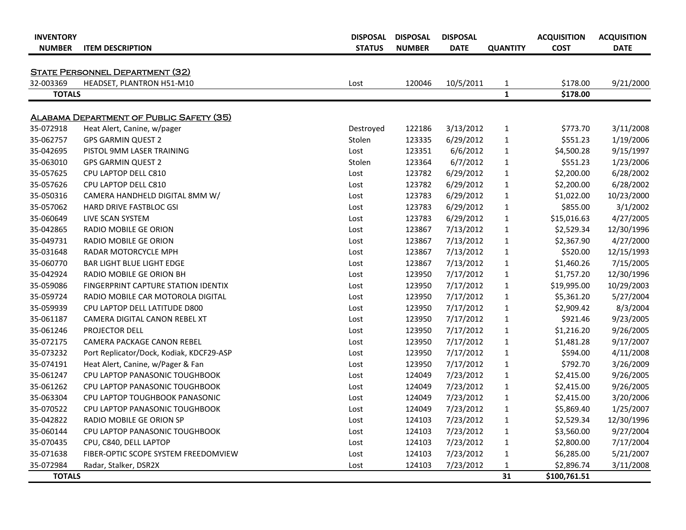| <b>INVENTORY</b><br><b>NUMBER</b> | <b>ITEM DESCRIPTION</b>                         | <b>DISPOSAL</b><br><b>STATUS</b> | <b>DISPOSAL</b><br><b>NUMBER</b> | <b>DISPOSAL</b><br><b>DATE</b> | <b>QUANTITY</b> | <b>ACQUISITION</b><br><b>COST</b> | <b>ACQUISITION</b><br><b>DATE</b> |
|-----------------------------------|-------------------------------------------------|----------------------------------|----------------------------------|--------------------------------|-----------------|-----------------------------------|-----------------------------------|
|                                   |                                                 |                                  |                                  |                                |                 |                                   |                                   |
|                                   | <b>STATE PERSONNEL DEPARTMENT (32)</b>          |                                  |                                  |                                |                 |                                   |                                   |
| 32-003369                         | HEADSET, PLANTRON H51-M10                       | Lost                             | 120046                           | 10/5/2011                      | $\mathbf{1}$    | \$178.00                          | 9/21/2000                         |
| <b>TOTALS</b>                     |                                                 |                                  |                                  |                                | 1               | \$178.00                          |                                   |
|                                   | <b>ALABAMA DEPARTMENT OF PUBLIC SAFETY (35)</b> |                                  |                                  |                                |                 |                                   |                                   |
| 35-072918                         | Heat Alert, Canine, w/pager                     | Destroyed                        | 122186                           | 3/13/2012                      | $\mathbf{1}$    | \$773.70                          | 3/11/2008                         |
| 35-062757                         | <b>GPS GARMIN QUEST 2</b>                       | Stolen                           | 123335                           | 6/29/2012                      | $\mathbf{1}$    | \$551.23                          | 1/19/2006                         |
| 35-042695                         | PISTOL 9MM LASER TRAINING                       | Lost                             | 123351                           | 6/6/2012                       | $\mathbf{1}$    | \$4,500.28                        | 9/15/1997                         |
| 35-063010                         | <b>GPS GARMIN QUEST 2</b>                       | Stolen                           | 123364                           | 6/7/2012                       | $\mathbf{1}$    | \$551.23                          | 1/23/2006                         |
| 35-057625                         | CPU LAPTOP DELL C810                            | Lost                             | 123782                           | 6/29/2012                      | $\mathbf{1}$    | \$2,200.00                        | 6/28/2002                         |
| 35-057626                         | CPU LAPTOP DELL C810                            | Lost                             | 123782                           | 6/29/2012                      | $\mathbf{1}$    | \$2,200.00                        | 6/28/2002                         |
| 35-050316                         | CAMERA HANDHELD DIGITAL 8MM W/                  | Lost                             | 123783                           | 6/29/2012                      | $\mathbf{1}$    | \$1,022.00                        | 10/23/2000                        |
| 35-057062                         | <b>HARD DRIVE FASTBLOC GSI</b>                  | Lost                             | 123783                           | 6/29/2012                      | $\mathbf{1}$    | \$855.00                          | 3/1/2002                          |
| 35-060649                         | LIVE SCAN SYSTEM                                | Lost                             | 123783                           | 6/29/2012                      | $\mathbf{1}$    | \$15,016.63                       | 4/27/2005                         |
| 35-042865                         | RADIO MOBILE GE ORION                           | Lost                             | 123867                           | 7/13/2012                      | $\mathbf{1}$    | \$2,529.34                        | 12/30/1996                        |
| 35-049731                         | RADIO MOBILE GE ORION                           | Lost                             | 123867                           | 7/13/2012                      | $\mathbf{1}$    | \$2,367.90                        | 4/27/2000                         |
| 35-031648                         | RADAR MOTORCYCLE MPH                            | Lost                             | 123867                           | 7/13/2012                      | 1               | \$520.00                          | 12/15/1993                        |
| 35-060770                         | <b>BAR LIGHT BLUE LIGHT EDGE</b>                | Lost                             | 123867                           | 7/13/2012                      | $\mathbf{1}$    | \$1,460.26                        | 7/15/2005                         |
| 35-042924                         | RADIO MOBILE GE ORION BH                        | Lost                             | 123950                           | 7/17/2012                      | $\mathbf{1}$    | \$1,757.20                        | 12/30/1996                        |
| 35-059086                         | FINGERPRINT CAPTURE STATION IDENTIX             | Lost                             | 123950                           | 7/17/2012                      | $\mathbf{1}$    | \$19,995.00                       | 10/29/2003                        |
| 35-059724                         | RADIO MOBILE CAR MOTOROLA DIGITAL               | Lost                             | 123950                           | 7/17/2012                      | $\mathbf{1}$    | \$5,361.20                        | 5/27/2004                         |
| 35-059939                         | CPU LAPTOP DELL LATITUDE D800                   | Lost                             | 123950                           | 7/17/2012                      | $\mathbf{1}$    | \$2,909.42                        | 8/3/2004                          |
| 35-061187                         | CAMERA DIGITAL CANON REBEL XT                   | Lost                             | 123950                           | 7/17/2012                      | $\mathbf{1}$    | \$921.46                          | 9/23/2005                         |
| 35-061246                         | PROJECTOR DELL                                  | Lost                             | 123950                           | 7/17/2012                      | $\mathbf{1}$    | \$1,216.20                        | 9/26/2005                         |
| 35-072175                         | CAMERA PACKAGE CANON REBEL                      | Lost                             | 123950                           | 7/17/2012                      | $\mathbf{1}$    | \$1,481.28                        | 9/17/2007                         |
| 35-073232                         | Port Replicator/Dock, Kodiak, KDCF29-ASP        | Lost                             | 123950                           | 7/17/2012                      | $\mathbf{1}$    | \$594.00                          | 4/11/2008                         |
| 35-074191                         | Heat Alert, Canine, w/Pager & Fan               | Lost                             | 123950                           | 7/17/2012                      | $\mathbf{1}$    | \$792.70                          | 3/26/2009                         |
| 35-061247                         | CPU LAPTOP PANASONIC TOUGHBOOK                  | Lost                             | 124049                           | 7/23/2012                      | $\mathbf{1}$    | \$2,415.00                        | 9/26/2005                         |
| 35-061262                         | <b>CPU LAPTOP PANASONIC TOUGHBOOK</b>           | Lost                             | 124049                           | 7/23/2012                      | $\mathbf{1}$    | \$2,415.00                        | 9/26/2005                         |
| 35-063304                         | CPU LAPTOP TOUGHBOOK PANASONIC                  | Lost                             | 124049                           | 7/23/2012                      | $\mathbf{1}$    | \$2,415.00                        | 3/20/2006                         |
| 35-070522                         | CPU LAPTOP PANASONIC TOUGHBOOK                  | Lost                             | 124049                           | 7/23/2012                      | $\mathbf{1}$    | \$5,869.40                        | 1/25/2007                         |
| 35-042822                         | RADIO MOBILE GE ORION SP                        | Lost                             | 124103                           | 7/23/2012                      | 1               | \$2,529.34                        | 12/30/1996                        |
| 35-060144                         | CPU LAPTOP PANASONIC TOUGHBOOK                  | Lost                             | 124103                           | 7/23/2012                      | 1               | \$3,560.00                        | 9/27/2004                         |
| 35-070435                         | CPU, C840, DELL LAPTOP                          | Lost                             | 124103                           | 7/23/2012                      | 1               | \$2,800.00                        | 7/17/2004                         |
| 35-071638                         | FIBER-OPTIC SCOPE SYSTEM FREEDOMVIEW            | Lost                             | 124103                           | 7/23/2012                      | 1               | \$6,285.00                        | 5/21/2007                         |
| 35-072984                         | Radar, Stalker, DSR2X                           | Lost                             | 124103                           | 7/23/2012                      | 1               | \$2,896.74                        | 3/11/2008                         |
| <b>TOTALS</b>                     |                                                 |                                  |                                  |                                | 31              | \$100,761.51                      |                                   |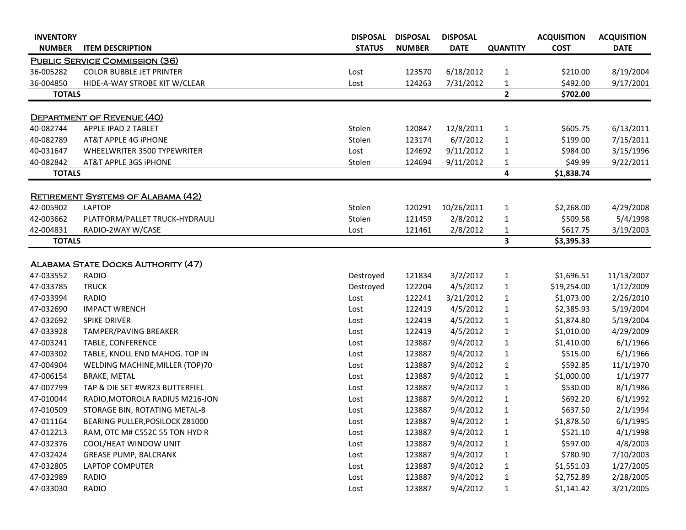| <b>INVENTORY</b><br><b>NUMBER</b> | <b>ITEM DESCRIPTION</b>                   | <b>DISPOSAL</b><br><b>STATUS</b> | <b>DISPOSAL</b><br><b>NUMBER</b> | <b>DISPOSAL</b><br><b>DATE</b> | <b>QUANTITY</b>         | <b>ACQUISITION</b><br><b>COST</b> | <b>ACQUISITION</b><br><b>DATE</b> |
|-----------------------------------|-------------------------------------------|----------------------------------|----------------------------------|--------------------------------|-------------------------|-----------------------------------|-----------------------------------|
|                                   | <b>PUBLIC SERVICE COMMISSION (36)</b>     |                                  |                                  |                                |                         |                                   |                                   |
| 36-005282                         | <b>COLOR BUBBLE JET PRINTER</b>           | Lost                             | 123570                           | 6/18/2012                      | $\mathbf{1}$            | \$210.00                          | 8/19/2004                         |
| 36-004850                         | HIDE-A-WAY STROBE KIT W/CLEAR             | Lost                             | 124263                           | 7/31/2012                      | 1                       | \$492.00                          | 9/17/2001                         |
| <b>TOTALS</b>                     |                                           |                                  |                                  |                                | $\overline{2}$          | \$702.00                          |                                   |
|                                   |                                           |                                  |                                  |                                |                         |                                   |                                   |
|                                   | <b>DEPARTMENT OF REVENUE (40)</b>         |                                  |                                  |                                |                         |                                   |                                   |
| 40-082744                         | APPLE IPAD 2 TABLET                       | Stolen                           | 120847                           | 12/8/2011                      | $\mathbf{1}$            | \$605.75                          | 6/13/2011                         |
| 40-082789                         | AT&T APPLE 4G IPHONE                      | Stolen                           | 123174                           | 6/7/2012                       | $\mathbf{1}$            | \$199.00                          | 7/15/2011                         |
| 40-031647                         | WHEELWRITER 3500 TYPEWRITER               | Lost                             | 124692                           | 9/11/2012                      | $\mathbf{1}$            | \$984.00                          | 3/15/1996                         |
| 40-082842                         | AT&T APPLE 3GS IPHONE                     | Stolen                           | 124694                           | 9/11/2012                      | $\mathbf{1}$            | \$49.99                           | 9/22/2011                         |
| <b>TOTALS</b>                     |                                           |                                  |                                  |                                | 4                       | \$1,838.74                        |                                   |
|                                   |                                           |                                  |                                  |                                |                         |                                   |                                   |
|                                   | <b>RETIREMENT SYSTEMS OF ALABAMA (42)</b> |                                  |                                  |                                |                         |                                   |                                   |
| 42-005902                         | <b>LAPTOP</b>                             | Stolen                           | 120291                           | 10/26/2011                     | $\mathbf{1}$            | \$2,268.00                        | 4/29/2008                         |
| 42-003662                         | PLATFORM/PALLET TRUCK-HYDRAULI            | Stolen                           | 121459                           | 2/8/2012                       | $\mathbf{1}$            | \$509.58                          | 5/4/1998                          |
| 42-004831                         | RADIO-2WAY W/CASE                         | Lost                             | 121461                           | 2/8/2012                       | 1                       | \$617.75                          | 3/19/2003                         |
| <b>TOTALS</b>                     |                                           |                                  |                                  |                                | $\overline{\mathbf{3}}$ | \$3,395.33                        |                                   |
|                                   |                                           |                                  |                                  |                                |                         |                                   |                                   |
|                                   | <b>ALABAMA STATE DOCKS AUTHORITY (47)</b> |                                  |                                  |                                |                         |                                   |                                   |
| 47-033552                         | <b>RADIO</b>                              | Destroyed                        | 121834                           | 3/2/2012                       | $\mathbf{1}$            | \$1,696.51                        | 11/13/2007                        |
| 47-033785                         | <b>TRUCK</b>                              | Destroyed                        | 122204                           | 4/5/2012                       | $\mathbf{1}$            | \$19,254.00                       | 1/12/2009                         |
| 47-033994                         | <b>RADIO</b>                              | Lost                             | 122241                           | 3/21/2012                      | $\mathbf{1}$            | \$1,073.00                        | 2/26/2010                         |
| 47-032690                         | <b>IMPACT WRENCH</b>                      | Lost                             | 122419                           | 4/5/2012                       | $\mathbf{1}$            | \$2,385.93                        | 5/19/2004                         |
| 47-032692                         | <b>SPIKE DRIVER</b>                       | Lost                             | 122419                           | 4/5/2012                       | $\mathbf{1}$            | \$1,874.80                        | 5/19/2004                         |
| 47-033928                         | TAMPER/PAVING BREAKER                     | Lost                             | 122419                           | 4/5/2012                       | 1                       | \$1,010.00                        | 4/29/2009                         |
| 47-003241                         | <b>TABLE, CONFERENCE</b>                  | Lost                             | 123887                           | 9/4/2012                       | $\mathbf{1}$            | \$1,410.00                        | 6/1/1966                          |
| 47-003302                         | TABLE, KNOLL END MAHOG. TOP IN            | Lost                             | 123887                           | 9/4/2012                       | 1                       | \$515.00                          | 6/1/1966                          |
| 47-004904                         | WELDING MACHINE, MILLER (TOP)70           | Lost                             | 123887                           | 9/4/2012                       | 1                       | \$592.85                          | 11/1/1970                         |
| 47-006154                         | <b>BRAKE, METAL</b>                       | Lost                             | 123887                           | 9/4/2012                       |                         | \$1,000.00                        | 1/1/1977                          |
| 47-007799                         | TAP & DIE SET #WR23 BUTTERFIEL            | Lost                             | 123887                           | 9/4/2012                       | $\mathbf{1}$            | \$530.00                          | 8/1/1986                          |
| 47-010044                         | RADIO, MOTOROLA RADIUS M216-JON           | Lost                             | 123887                           | 9/4/2012                       | $\mathbf{1}$            | \$692.20                          | 6/1/1992                          |
| 47-010509                         | STORAGE BIN, ROTATING METAL-8             | Lost                             | 123887                           | 9/4/2012                       | $\mathbf{1}$            | \$637.50                          | 2/1/1994                          |
| 47-011164                         | BEARING PULLER, POSILOCK Z81000           | Lost                             | 123887                           | 9/4/2012                       | 1                       | \$1,878.50                        | 6/1/1995                          |
| 47-012213                         | RAM, OTC M# C552C 55 TON HYD R            | Lost                             | 123887                           | 9/4/2012                       | 1                       | \$521.10                          | 4/1/1998                          |
| 47-032376                         | COOL/HEAT WINDOW UNIT                     | Lost                             | 123887                           | 9/4/2012                       | 1                       | \$597.00                          | 4/8/2003                          |
| 47-032424                         | <b>GREASE PUMP, BALCRANK</b>              | Lost                             | 123887                           | 9/4/2012                       | 1                       | \$780.90                          | 7/10/2003                         |
| 47-032805                         | LAPTOP COMPUTER                           | Lost                             | 123887                           | 9/4/2012                       | $\mathbf{1}$            | \$1,551.03                        | 1/27/2005                         |
| 47-032989                         | <b>RADIO</b>                              | Lost                             | 123887                           | 9/4/2012                       | $\mathbf{1}$            | \$2,752.89                        | 2/28/2005                         |
| 47-033030                         | <b>RADIO</b>                              | Lost                             | 123887                           | 9/4/2012                       | $\mathbf{1}$            | \$1,141.42                        | 3/21/2005                         |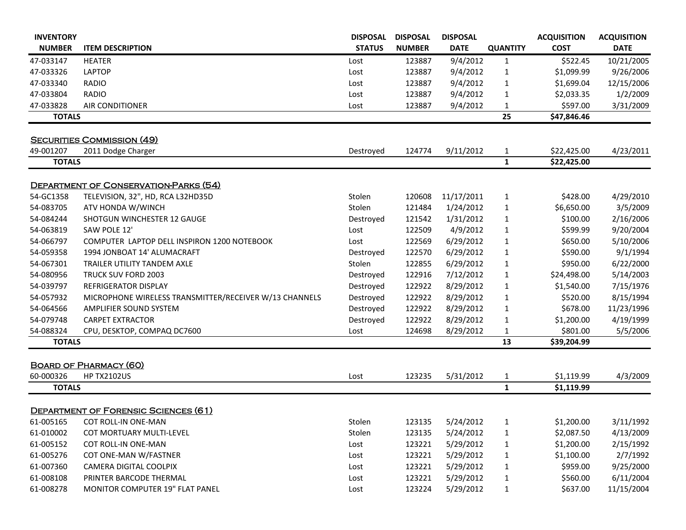| <b>INVENTORY</b> |                                                        | <b>DISPOSAL</b> | <b>DISPOSAL</b> | <b>DISPOSAL</b> |                   | <b>ACQUISITION</b> | <b>ACQUISITION</b> |
|------------------|--------------------------------------------------------|-----------------|-----------------|-----------------|-------------------|--------------------|--------------------|
| <b>NUMBER</b>    | <b>ITEM DESCRIPTION</b>                                | <b>STATUS</b>   | <b>NUMBER</b>   | <b>DATE</b>     | <b>QUANTITY</b>   | <b>COST</b>        | <b>DATE</b>        |
| 47-033147        | <b>HEATER</b>                                          | Lost            | 123887          | 9/4/2012        | $\mathbf{1}$      | \$522.45           | 10/21/2005         |
| 47-033326        | <b>LAPTOP</b>                                          | Lost            | 123887          | 9/4/2012        | $\mathbf{1}$      | \$1,099.99         | 9/26/2006          |
| 47-033340        | <b>RADIO</b>                                           | Lost            | 123887          | 9/4/2012        | 1                 | \$1,699.04         | 12/15/2006         |
| 47-033804        | <b>RADIO</b>                                           | Lost            | 123887          | 9/4/2012        | $\mathbf{1}$      | \$2,033.35         | 1/2/2009           |
| 47-033828        | <b>AIR CONDITIONER</b>                                 | Lost            | 123887          | 9/4/2012        | 1                 | \$597.00           | 3/31/2009          |
| <b>TOTALS</b>    |                                                        |                 |                 |                 | 25                | \$47,846.46        |                    |
|                  | <b>SECURITIES COMMISSION (49)</b>                      |                 |                 |                 |                   |                    |                    |
| 49-001207        | 2011 Dodge Charger                                     | Destroyed       | 124774          | 9/11/2012       | $\mathbf{1}$      | \$22,425.00        | 4/23/2011          |
| <b>TOTALS</b>    |                                                        |                 |                 |                 | $\mathbf{1}$      | \$22,425.00        |                    |
|                  |                                                        |                 |                 |                 |                   |                    |                    |
|                  | <b>DEPARTMENT OF CONSERVATION-PARKS (54)</b>           |                 |                 |                 |                   |                    |                    |
| 54-GC1358        | TELEVISION, 32", HD, RCA L32HD35D                      | Stolen          | 120608          | 11/17/2011      | $\mathbf{1}$      | \$428.00           | 4/29/2010          |
| 54-083705        | ATV HONDA W/WINCH                                      | Stolen          | 121484          | 1/24/2012       | $\mathbf{1}$      | \$6,650.00         | 3/5/2009           |
| 54-084244        | SHOTGUN WINCHESTER 12 GAUGE                            | Destroyed       | 121542          | 1/31/2012       | 1                 | \$100.00           | 2/16/2006          |
| 54-063819        | SAW POLE 12'                                           | Lost            | 122509          | 4/9/2012        | 1                 | \$599.99           | 9/20/2004          |
| 54-066797        | COMPUTER LAPTOP DELL INSPIRON 1200 NOTEBOOK            | Lost            | 122569          | 6/29/2012       | $\mathbf{1}$      | \$650.00           | 5/10/2006          |
| 54-059358        | 1994 JONBOAT 14' ALUMACRAFT                            | Destroyed       | 122570          | 6/29/2012       | $\mathbf{1}$      | \$590.00           | 9/1/1994           |
| 54-067301        | TRAILER UTILITY TANDEM AXLE                            | Stolen          | 122855          | 6/29/2012       | $\mathbf{1}$      | \$950.00           | 6/22/2000          |
| 54-080956        | TRUCK SUV FORD 2003                                    | Destroyed       | 122916          | 7/12/2012       | 1                 | \$24,498.00        | 5/14/2003          |
| 54-039797        | <b>REFRIGERATOR DISPLAY</b>                            | Destroyed       | 122922          | 8/29/2012       | $\mathbf{1}$      | \$1,540.00         | 7/15/1976          |
| 54-057932        | MICROPHONE WIRELESS TRANSMITTER/RECEIVER W/13 CHANNELS | Destroyed       | 122922          | 8/29/2012       | 1                 | \$520.00           | 8/15/1994          |
| 54-064566        | AMPLIFIER SOUND SYSTEM                                 | Destroyed       | 122922          | 8/29/2012       | $\mathbf{1}$      | \$678.00           | 11/23/1996         |
| 54-079748        | <b>CARPET EXTRACTOR</b>                                | Destroyed       | 122922          | 8/29/2012       | $\mathbf{1}$      | \$1,200.00         | 4/19/1999          |
| 54-088324        | CPU, DESKTOP, COMPAQ DC7600                            | Lost            | 124698          | 8/29/2012       | 1                 | \$801.00           | 5/5/2006           |
| <b>TOTALS</b>    |                                                        |                 |                 |                 | 13                | \$39,204.99        |                    |
|                  |                                                        |                 |                 |                 |                   |                    |                    |
| 60-000326        | <b>BOARD OF PHARMACY (60)</b><br><b>HP TX2102US</b>    |                 | 123235          | 5/31/2012       |                   | \$1,119.99         |                    |
| <b>TOTALS</b>    |                                                        | Lost            |                 |                 | 1<br>$\mathbf{1}$ | \$1,119.99         | 4/3/2009           |
|                  |                                                        |                 |                 |                 |                   |                    |                    |
|                  | <b>DEPARTMENT OF FORENSIC SCIENCES (61)</b>            |                 |                 |                 |                   |                    |                    |
| 61-005165        | <b>COT ROLL-IN ONE-MAN</b>                             | Stolen          | 123135          | 5/24/2012       | $\mathbf{1}$      | \$1,200.00         | 3/11/1992          |
| 61-010002        | COT MORTUARY MULTI-LEVEL                               | Stolen          | 123135          | 5/24/2012       | $\mathbf{1}$      | \$2,087.50         | 4/13/2009          |
| 61-005152        | <b>COT ROLL-IN ONE-MAN</b>                             | Lost            | 123221          | 5/29/2012       | $\mathbf{1}$      | \$1,200.00         | 2/15/1992          |
| 61-005276        | COT ONE-MAN W/FASTNER                                  | Lost            | 123221          | 5/29/2012       | 1                 | \$1,100.00         | 2/7/1992           |
| 61-007360        | <b>CAMERA DIGITAL COOLPIX</b>                          | Lost            | 123221          | 5/29/2012       | 1                 | \$959.00           | 9/25/2000          |
| 61-008108        | PRINTER BARCODE THERMAL                                | Lost            | 123221          | 5/29/2012       | 1                 | \$560.00           | 6/11/2004          |
| 61-008278        | MONITOR COMPUTER 19" FLAT PANEL                        | Lost            | 123224          | 5/29/2012       | $\mathbf{1}$      | \$637.00           | 11/15/2004         |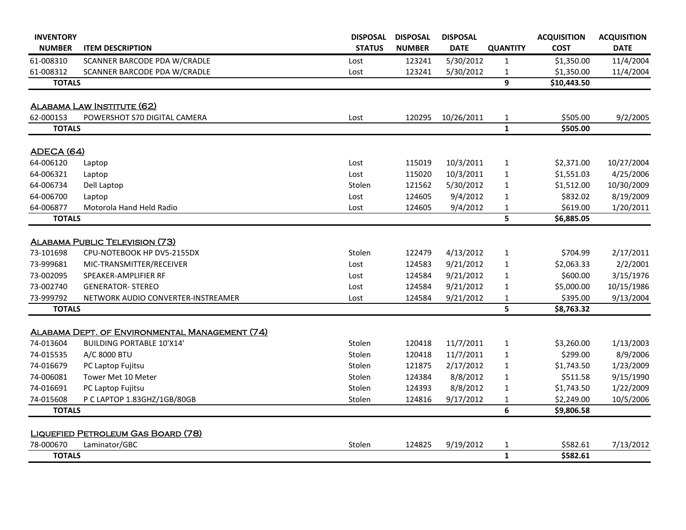| <b>INVENTORY</b>  |                                                | <b>DISPOSAL</b> | <b>DISPOSAL</b> | <b>DISPOSAL</b> |                 | <b>ACQUISITION</b> | <b>ACQUISITION</b> |
|-------------------|------------------------------------------------|-----------------|-----------------|-----------------|-----------------|--------------------|--------------------|
| <b>NUMBER</b>     | <b>ITEM DESCRIPTION</b>                        | <b>STATUS</b>   | <b>NUMBER</b>   | <b>DATE</b>     | <b>QUANTITY</b> | <b>COST</b>        | <b>DATE</b>        |
| 61-008310         | SCANNER BARCODE PDA W/CRADLE                   | Lost            | 123241          | 5/30/2012       | 1               | \$1,350.00         | 11/4/2004          |
| 61-008312         | SCANNER BARCODE PDA W/CRADLE                   | Lost            | 123241          | 5/30/2012       | 1               | \$1,350.00         | 11/4/2004          |
| <b>TOTALS</b>     |                                                |                 |                 |                 | 9               | \$10,443.50        |                    |
|                   |                                                |                 |                 |                 |                 |                    |                    |
|                   | <b>ALABAMA LAW INSTITUTE (62)</b>              |                 |                 |                 |                 |                    |                    |
| 62-000153         | POWERSHOT S70 DIGITAL CAMERA                   | Lost            | 120295          | 10/26/2011      | $\mathbf{1}$    | \$505.00           | 9/2/2005           |
| <b>TOTALS</b>     |                                                |                 |                 |                 | $\mathbf{1}$    | \$505.00           |                    |
| <b>ADECA (64)</b> |                                                |                 |                 |                 |                 |                    |                    |
| 64-006120         | Laptop                                         | Lost            | 115019          | 10/3/2011       | $\mathbf{1}$    | \$2,371.00         | 10/27/2004         |
| 64-006321         | Laptop                                         | Lost            | 115020          | 10/3/2011       | $\mathbf{1}$    | \$1,551.03         | 4/25/2006          |
| 64-006734         | Dell Laptop                                    | Stolen          | 121562          | 5/30/2012       | 1               | \$1,512.00         | 10/30/2009         |
| 64-006700         | Laptop                                         | Lost            | 124605          | 9/4/2012        | 1               | \$832.02           | 8/19/2009          |
| 64-006877         | Motorola Hand Held Radio                       | Lost            | 124605          | 9/4/2012        | 1               | \$619.00           | 1/20/2011          |
| <b>TOTALS</b>     |                                                |                 |                 |                 | 5               | \$6,885.05         |                    |
|                   |                                                |                 |                 |                 |                 |                    |                    |
|                   | <b>ALABAMA PUBLIC TELEVISION (73)</b>          |                 |                 |                 |                 |                    |                    |
| 73-101698         | CPU-NOTEBOOK HP DV5-2155DX                     | Stolen          | 122479          | 4/13/2012       | 1               | \$704.99           | 2/17/2011          |
| 73-999681         | MIC-TRANSMITTER/RECEIVER                       | Lost            | 124583          | 9/21/2012       | 1               | \$2,063.33         | 2/2/2001           |
| 73-002095         | SPEAKER-AMPLIFIER RF                           | Lost            | 124584          | 9/21/2012       | 1               | \$600.00           | 3/15/1976          |
| 73-002740         | <b>GENERATOR- STEREO</b>                       | Lost            | 124584          | 9/21/2012       | 1               | \$5,000.00         | 10/15/1986         |
| 73-999792         | NETWORK AUDIO CONVERTER-INSTREAMER             | Lost            | 124584          | 9/21/2012       | 1               | \$395.00           | 9/13/2004          |
| <b>TOTALS</b>     |                                                |                 |                 |                 | 5               | \$8,763.32         |                    |
|                   | ALABAMA DEPT. OF ENVIRONMENTAL MANAGEMENT (74) |                 |                 |                 |                 |                    |                    |
| 74-013604         | <b>BUILDING PORTABLE 10'X14'</b>               | Stolen          | 120418          | 11/7/2011       | $\mathbf{1}$    | \$3,260.00         | 1/13/2003          |
| 74-015535         | A/C 8000 BTU                                   | Stolen          | 120418          | 11/7/2011       | 1               | \$299.00           | 8/9/2006           |
| 74-016679         | PC Laptop Fujitsu                              | Stolen          | 121875          | 2/17/2012       | 1               | \$1,743.50         | 1/23/2009          |
| 74-006081         | Tower Met 10 Meter                             | Stolen          | 124384          | 8/8/2012        | 1               | \$511.58           | 9/15/1990          |
| 74-016691         | PC Laptop Fujitsu                              | Stolen          | 124393          | 8/8/2012        | 1               | \$1,743.50         | 1/22/2009          |
| 74-015608         | P C LAPTOP 1.83GHZ/1GB/80GB                    | Stolen          | 124816          | 9/17/2012       | 1               | \$2,249.00         | 10/5/2006          |
| <b>TOTALS</b>     |                                                |                 |                 |                 | 6               | \$9,806.58         |                    |
|                   |                                                |                 |                 |                 |                 |                    |                    |
|                   | LIQUEFIED PETROLEUM GAS BOARD (78)             |                 |                 |                 |                 |                    |                    |
| 78-000670         | Laminator/GBC                                  | Stolen          | 124825          | 9/19/2012       | 1               | \$582.61           | 7/13/2012          |
| <b>TOTALS</b>     |                                                |                 |                 |                 | $\mathbf{1}$    | \$582.61           |                    |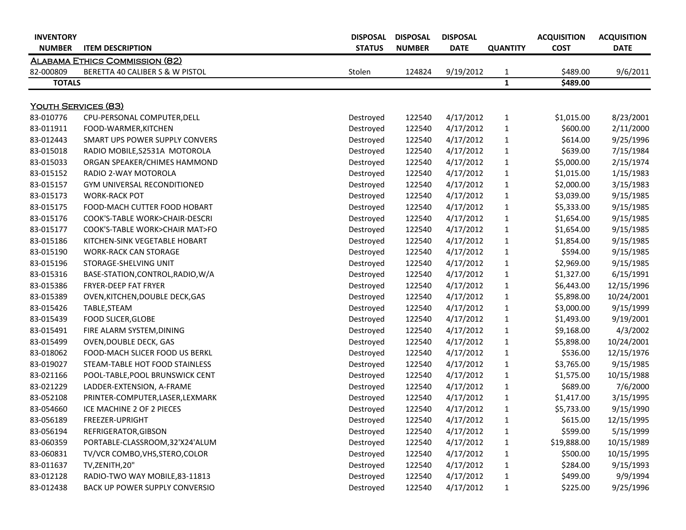| <b>INVENTORY</b><br><b>NUMBER</b> | <b>ITEM DESCRIPTION</b>               | <b>DISPOSAL</b><br><b>STATUS</b> | <b>DISPOSAL</b><br><b>NUMBER</b> | <b>DISPOSAL</b><br><b>DATE</b> | <b>QUANTITY</b> | <b>ACQUISITION</b><br><b>COST</b> | <b>ACQUISITION</b><br><b>DATE</b> |
|-----------------------------------|---------------------------------------|----------------------------------|----------------------------------|--------------------------------|-----------------|-----------------------------------|-----------------------------------|
|                                   | <b>ALABAMA ETHICS COMMISSION (82)</b> |                                  |                                  |                                |                 |                                   |                                   |
| 82-000809                         | BERETTA 40 CALIBER S & W PISTOL       | Stolen                           | 124824                           | 9/19/2012                      | $\mathbf{1}$    | \$489.00                          | 9/6/2011                          |
| <b>TOTALS</b>                     |                                       |                                  |                                  |                                | $\mathbf{1}$    | \$489.00                          |                                   |
|                                   |                                       |                                  |                                  |                                |                 |                                   |                                   |
| <b>YOUTH SERVICES (83)</b>        |                                       |                                  |                                  |                                |                 |                                   |                                   |
| 83-010776                         | CPU-PERSONAL COMPUTER, DELL           | Destroyed                        | 122540                           | 4/17/2012                      | $\mathbf{1}$    | \$1,015.00                        | 8/23/2001                         |
| 83-011911                         | FOOD-WARMER, KITCHEN                  | Destroyed                        | 122540                           | 4/17/2012                      | $\mathbf{1}$    | \$600.00                          | 2/11/2000                         |
| 83-012443                         | SMART UPS POWER SUPPLY CONVERS        | Destroyed                        | 122540                           | 4/17/2012                      | $\mathbf{1}$    | \$614.00                          | 9/25/1996                         |
| 83-015018                         | RADIO MOBILE, S2531A MOTOROLA         | Destroyed                        | 122540                           | 4/17/2012                      | $\mathbf{1}$    | \$639.00                          | 7/15/1984                         |
| 83-015033                         | ORGAN SPEAKER/CHIMES HAMMOND          | Destroyed                        | 122540                           | 4/17/2012                      | $\mathbf{1}$    | \$5,000.00                        | 2/15/1974                         |
| 83-015152                         | RADIO 2-WAY MOTOROLA                  | Destroyed                        | 122540                           | 4/17/2012                      | $\mathbf{1}$    | \$1,015.00                        | 1/15/1983                         |
| 83-015157                         | GYM UNIVERSAL RECONDITIONED           | Destroyed                        | 122540                           | 4/17/2012                      | $\mathbf{1}$    | \$2,000.00                        | 3/15/1983                         |
| 83-015173                         | <b>WORK-RACK POT</b>                  | Destroyed                        | 122540                           | 4/17/2012                      | $\mathbf{1}$    | \$3,039.00                        | 9/15/1985                         |
| 83-015175                         | FOOD-MACH CUTTER FOOD HOBART          | Destroyed                        | 122540                           | 4/17/2012                      | $\mathbf{1}$    | \$5,333.00                        | 9/15/1985                         |
| 83-015176                         | COOK'S-TABLE WORK>CHAIR-DESCRI        | Destroyed                        | 122540                           | 4/17/2012                      | $\mathbf{1}$    | \$1,654.00                        | 9/15/1985                         |
| 83-015177                         | COOK'S-TABLE WORK>CHAIR MAT>FO        | Destroyed                        | 122540                           | 4/17/2012                      | $\mathbf{1}$    | \$1,654.00                        | 9/15/1985                         |
| 83-015186                         | KITCHEN-SINK VEGETABLE HOBART         | Destroyed                        | 122540                           | 4/17/2012                      | $\mathbf{1}$    | \$1,854.00                        | 9/15/1985                         |
| 83-015190                         | <b>WORK-RACK CAN STORAGE</b>          | Destroyed                        | 122540                           | 4/17/2012                      | $\mathbf{1}$    | \$594.00                          | 9/15/1985                         |
| 83-015196                         | STORAGE-SHELVING UNIT                 | Destroyed                        | 122540                           | 4/17/2012                      | $\mathbf{1}$    | \$2,969.00                        | 9/15/1985                         |
| 83-015316                         | BASE-STATION, CONTROL, RADIO, W/A     | Destroyed                        | 122540                           | 4/17/2012                      | $\mathbf{1}$    | \$1,327.00                        | 6/15/1991                         |
| 83-015386                         | FRYER-DEEP FAT FRYER                  | Destroyed                        | 122540                           | 4/17/2012                      | $\mathbf{1}$    | \$6,443.00                        | 12/15/1996                        |
| 83-015389                         | OVEN, KITCHEN, DOUBLE DECK, GAS       | Destroyed                        | 122540                           | 4/17/2012                      | $\mathbf{1}$    | \$5,898.00                        | 10/24/2001                        |
| 83-015426                         | TABLE, STEAM                          | Destroyed                        | 122540                           | 4/17/2012                      | $\mathbf{1}$    | \$3,000.00                        | 9/15/1999                         |
| 83-015439                         | <b>FOOD SLICER, GLOBE</b>             | Destroyed                        | 122540                           | 4/17/2012                      | $\mathbf{1}$    | \$1,493.00                        | 9/19/2001                         |
| 83-015491                         | FIRE ALARM SYSTEM, DINING             | Destroyed                        | 122540                           | 4/17/2012                      | $\mathbf{1}$    | \$9,168.00                        | 4/3/2002                          |
| 83-015499                         | <b>OVEN, DOUBLE DECK, GAS</b>         | Destroyed                        | 122540                           | 4/17/2012                      | $\mathbf{1}$    | \$5,898.00                        | 10/24/2001                        |
| 83-018062                         | FOOD-MACH SLICER FOOD US BERKL        | Destroyed                        | 122540                           | 4/17/2012                      | $\mathbf{1}$    | \$536.00                          | 12/15/1976                        |
| 83-019027                         | STEAM-TABLE HOT FOOD STAINLESS        | Destroyed                        | 122540                           | 4/17/2012                      | 1               | \$3,765.00                        | 9/15/1985                         |
| 83-021166                         | POOL-TABLE, POOL BRUNSWICK CENT       | Destroyed                        | 122540                           | 4/17/2012                      | 1               | \$1,575.00                        | 10/15/1988                        |
| 83-021229                         | LADDER-EXTENSION, A-FRAME             | Destroyed                        | 122540                           | 4/17/2012                      | $\mathbf{1}$    | \$689.00                          | 7/6/2000                          |
| 83-052108                         | PRINTER-COMPUTER, LASER, LEXMARK      | Destroyed                        | 122540                           | 4/17/2012                      | $\mathbf{1}$    | \$1,417.00                        | 3/15/1995                         |
| 83-054660                         | ICE MACHINE 2 OF 2 PIECES             | Destroyed                        | 122540                           | 4/17/2012                      | $\mathbf{1}$    | \$5,733.00                        | 9/15/1990                         |
| 83-056189                         | FREEZER-UPRIGHT                       | Destroyed                        | 122540                           | 4/17/2012                      | $\mathbf{1}$    | \$615.00                          | 12/15/1995                        |
| 83-056194                         | REFRIGERATOR, GIBSON                  | Destroyed                        | 122540                           | 4/17/2012                      | $\mathbf{1}$    | \$599.00                          | 5/15/1999                         |
| 83-060359                         | PORTABLE-CLASSROOM,32'X24'ALUM        | Destroyed                        | 122540                           | 4/17/2012                      | $\mathbf{1}$    | \$19,888.00                       | 10/15/1989                        |
| 83-060831                         | TV/VCR COMBO, VHS, STERO, COLOR       | Destroyed                        | 122540                           | 4/17/2012                      | $\mathbf{1}$    | \$500.00                          | 10/15/1995                        |
| 83-011637                         | TV, ZENITH, 20"                       | Destroyed                        | 122540                           | 4/17/2012                      | $\mathbf{1}$    | \$284.00                          | 9/15/1993                         |
| 83-012128                         | RADIO-TWO WAY MOBILE, 83-11813        | Destroyed                        | 122540                           | 4/17/2012                      | $\mathbf{1}$    | \$499.00                          | 9/9/1994                          |
| 83-012438                         | BACK UP POWER SUPPLY CONVERSIO        | Destroyed                        | 122540                           | 4/17/2012                      | $\mathbf{1}$    | \$225.00                          | 9/25/1996                         |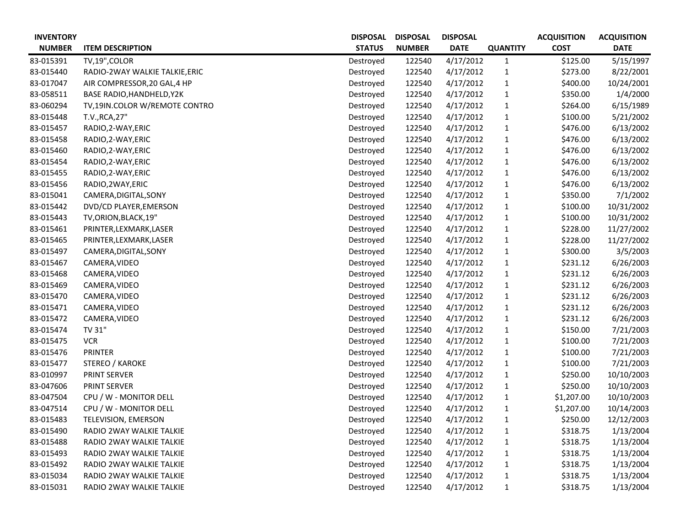| <b>INVENTORY</b> |                                | <b>DISPOSAL</b> | <b>DISPOSAL</b> | <b>DISPOSAL</b> |                 | <b>ACQUISITION</b> | <b>ACQUISITION</b> |
|------------------|--------------------------------|-----------------|-----------------|-----------------|-----------------|--------------------|--------------------|
| <b>NUMBER</b>    | <b>ITEM DESCRIPTION</b>        | <b>STATUS</b>   | <b>NUMBER</b>   | <b>DATE</b>     | <b>QUANTITY</b> | <b>COST</b>        | <b>DATE</b>        |
| 83-015391        | TV,19", COLOR                  | Destroyed       | 122540          | 4/17/2012       | $\mathbf{1}$    | \$125.00           | 5/15/1997          |
| 83-015440        | RADIO-2WAY WALKIE TALKIE, ERIC | Destroyed       | 122540          | 4/17/2012       | $\mathbf{1}$    | \$273.00           | 8/22/2001          |
| 83-017047        | AIR COMPRESSOR, 20 GAL, 4 HP   | Destroyed       | 122540          | 4/17/2012       | $\mathbf{1}$    | \$400.00           | 10/24/2001         |
| 83-058511        | BASE RADIO, HANDHELD, Y2K      | Destroyed       | 122540          | 4/17/2012       | $\mathbf{1}$    | \$350.00           | 1/4/2000           |
| 83-060294        | TV,19IN.COLOR W/REMOTE CONTRO  | Destroyed       | 122540          | 4/17/2012       | $\mathbf{1}$    | \$264.00           | 6/15/1989          |
| 83-015448        | T.V., RCA, 27"                 | Destroyed       | 122540          | 4/17/2012       | $\mathbf{1}$    | \$100.00           | 5/21/2002          |
| 83-015457        | RADIO, 2-WAY, ERIC             | Destroyed       | 122540          | 4/17/2012       | $\mathbf{1}$    | \$476.00           | 6/13/2002          |
| 83-015458        | RADIO, 2-WAY, ERIC             | Destroyed       | 122540          | 4/17/2012       | $\mathbf{1}$    | \$476.00           | 6/13/2002          |
| 83-015460        | RADIO, 2-WAY, ERIC             | Destroyed       | 122540          | 4/17/2012       | $\mathbf{1}$    | \$476.00           | 6/13/2002          |
| 83-015454        | RADIO, 2-WAY, ERIC             | Destroyed       | 122540          | 4/17/2012       | $\mathbf{1}$    | \$476.00           | 6/13/2002          |
| 83-015455        | RADIO, 2-WAY, ERIC             | Destroyed       | 122540          | 4/17/2012       | $\mathbf{1}$    | \$476.00           | 6/13/2002          |
| 83-015456        | RADIO, 2WAY, ERIC              | Destroyed       | 122540          | 4/17/2012       | $\mathbf{1}$    | \$476.00           | 6/13/2002          |
| 83-015041        | CAMERA, DIGITAL, SONY          | Destroyed       | 122540          | 4/17/2012       | $\mathbf{1}$    | \$350.00           | 7/1/2002           |
| 83-015442        | DVD/CD PLAYER, EMERSON         | Destroyed       | 122540          | 4/17/2012       | $\mathbf{1}$    | \$100.00           | 10/31/2002         |
| 83-015443        | TV, ORION, BLACK, 19"          | Destroyed       | 122540          | 4/17/2012       | $\mathbf{1}$    | \$100.00           | 10/31/2002         |
| 83-015461        | PRINTER, LEXMARK, LASER        | Destroyed       | 122540          | 4/17/2012       | $\mathbf{1}$    | \$228.00           | 11/27/2002         |
| 83-015465        | PRINTER, LEXMARK, LASER        | Destroyed       | 122540          | 4/17/2012       | $\mathbf{1}$    | \$228.00           | 11/27/2002         |
| 83-015497        | CAMERA, DIGITAL, SONY          | Destroyed       | 122540          | 4/17/2012       | $\mathbf{1}$    | \$300.00           | 3/5/2003           |
| 83-015467        | CAMERA, VIDEO                  | Destroyed       | 122540          | 4/17/2012       | 1               | \$231.12           | 6/26/2003          |
| 83-015468        | CAMERA, VIDEO                  | Destroyed       | 122540          | 4/17/2012       | $\mathbf{1}$    | \$231.12           | 6/26/2003          |
| 83-015469        | CAMERA, VIDEO                  | Destroyed       | 122540          | 4/17/2012       | $\mathbf{1}$    | \$231.12           | 6/26/2003          |
| 83-015470        | CAMERA, VIDEO                  | Destroyed       | 122540          | 4/17/2012       | $\mathbf{1}$    | \$231.12           | 6/26/2003          |
| 83-015471        | CAMERA, VIDEO                  | Destroyed       | 122540          | 4/17/2012       | $\mathbf{1}$    | \$231.12           | 6/26/2003          |
| 83-015472        | CAMERA, VIDEO                  | Destroyed       | 122540          | 4/17/2012       | $\mathbf{1}$    | \$231.12           | 6/26/2003          |
| 83-015474        | TV 31"                         | Destroyed       | 122540          | 4/17/2012       | $\mathbf{1}$    | \$150.00           | 7/21/2003          |
| 83-015475        | <b>VCR</b>                     | Destroyed       | 122540          | 4/17/2012       | $\mathbf{1}$    | \$100.00           | 7/21/2003          |
| 83-015476        | <b>PRINTER</b>                 | Destroyed       | 122540          | 4/17/2012       | $\mathbf{1}$    | \$100.00           | 7/21/2003          |
| 83-015477        | STEREO / KAROKE                | Destroyed       | 122540          | 4/17/2012       | $\mathbf{1}$    | \$100.00           | 7/21/2003          |
| 83-010997        | PRINT SERVER                   | Destroyed       | 122540          | 4/17/2012       | 1               | \$250.00           | 10/10/2003         |
| 83-047606        | <b>PRINT SERVER</b>            | Destroyed       | 122540          | 4/17/2012       | $\mathbf{1}$    | \$250.00           | 10/10/2003         |
| 83-047504        | CPU / W - MONITOR DELL         | Destroyed       | 122540          | 4/17/2012       | 1               | \$1,207.00         | 10/10/2003         |
| 83-047514        | CPU / W - MONITOR DELL         | Destroyed       | 122540          | 4/17/2012       | $\mathbf{1}$    | \$1,207.00         | 10/14/2003         |
| 83-015483        | TELEVISION, EMERSON            | Destroyed       | 122540          | 4/17/2012       | $\mathbf{1}$    | \$250.00           | 12/12/2003         |
| 83-015490        | RADIO 2WAY WALKIE TALKIE       | Destroyed       | 122540          | 4/17/2012       | 1               | \$318.75           | 1/13/2004          |
| 83-015488        | RADIO 2WAY WALKIE TALKIE       | Destroyed       | 122540          | 4/17/2012       | $\mathbf{1}$    | \$318.75           | 1/13/2004          |
| 83-015493        | RADIO 2WAY WALKIE TALKIE       | Destroyed       | 122540          | 4/17/2012       | 1               | \$318.75           | 1/13/2004          |
| 83-015492        | RADIO 2WAY WALKIE TALKIE       | Destroyed       | 122540          | 4/17/2012       | 1               | \$318.75           | 1/13/2004          |
| 83-015034        | RADIO 2WAY WALKIE TALKIE       | Destroyed       | 122540          | 4/17/2012       | $\mathbf{1}$    | \$318.75           | 1/13/2004          |
| 83-015031        | RADIO 2WAY WALKIE TALKIE       | Destroyed       | 122540          | 4/17/2012       | 1               | \$318.75           | 1/13/2004          |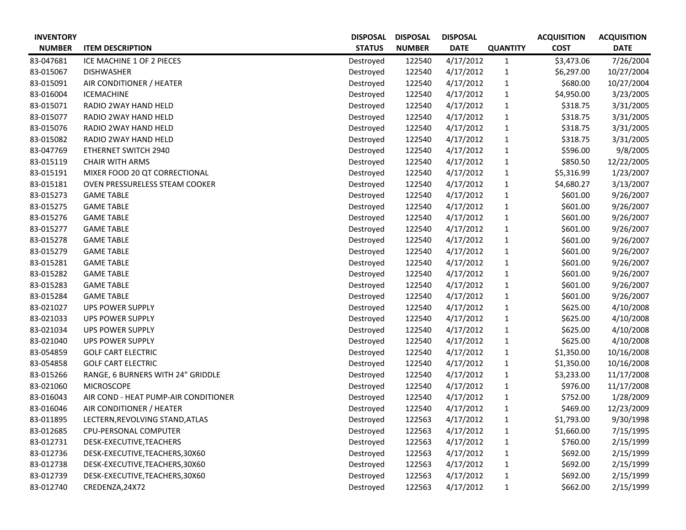| <b>INVENTORY</b> |                                      | <b>DISPOSAL</b> | <b>DISPOSAL</b> | <b>DISPOSAL</b> |                 | <b>ACQUISITION</b> | <b>ACQUISITION</b> |
|------------------|--------------------------------------|-----------------|-----------------|-----------------|-----------------|--------------------|--------------------|
| <b>NUMBER</b>    | <b>ITEM DESCRIPTION</b>              | <b>STATUS</b>   | <b>NUMBER</b>   | <b>DATE</b>     | <b>QUANTITY</b> | <b>COST</b>        | <b>DATE</b>        |
| 83-047681        | ICE MACHINE 1 OF 2 PIECES            | Destroyed       | 122540          | 4/17/2012       | $\mathbf{1}$    | \$3,473.06         | 7/26/2004          |
| 83-015067        | <b>DISHWASHER</b>                    | Destroyed       | 122540          | 4/17/2012       | $\mathbf{1}$    | \$6,297.00         | 10/27/2004         |
| 83-015091        | AIR CONDITIONER / HEATER             | Destroyed       | 122540          | 4/17/2012       | $\mathbf{1}$    | \$680.00           | 10/27/2004         |
| 83-016004        | <b>ICEMACHINE</b>                    | Destroyed       | 122540          | 4/17/2012       | $\mathbf{1}$    | \$4,950.00         | 3/23/2005          |
| 83-015071        | RADIO 2WAY HAND HELD                 | Destroyed       | 122540          | 4/17/2012       | $\mathbf{1}$    | \$318.75           | 3/31/2005          |
| 83-015077        | RADIO 2WAY HAND HELD                 | Destroyed       | 122540          | 4/17/2012       | $\mathbf{1}$    | \$318.75           | 3/31/2005          |
| 83-015076        | RADIO 2WAY HAND HELD                 | Destroyed       | 122540          | 4/17/2012       | $\mathbf{1}$    | \$318.75           | 3/31/2005          |
| 83-015082        | RADIO 2WAY HAND HELD                 | Destroyed       | 122540          | 4/17/2012       | $\mathbf{1}$    | \$318.75           | 3/31/2005          |
| 83-047769        | ETHERNET SWITCH 2940                 | Destroyed       | 122540          | 4/17/2012       | $\mathbf{1}$    | \$596.00           | 9/8/2005           |
| 83-015119        | <b>CHAIR WITH ARMS</b>               | Destroyed       | 122540          | 4/17/2012       | $\mathbf{1}$    | \$850.50           | 12/22/2005         |
| 83-015191        | MIXER FOOD 20 QT CORRECTIONAL        | Destroyed       | 122540          | 4/17/2012       | $\mathbf{1}$    | \$5,316.99         | 1/23/2007          |
| 83-015181        | OVEN PRESSURELESS STEAM COOKER       | Destroyed       | 122540          | 4/17/2012       | $\mathbf{1}$    | \$4,680.27         | 3/13/2007          |
| 83-015273        | <b>GAME TABLE</b>                    | Destroyed       | 122540          | 4/17/2012       | $\mathbf{1}$    | \$601.00           | 9/26/2007          |
| 83-015275        | <b>GAME TABLE</b>                    | Destroyed       | 122540          | 4/17/2012       | $\mathbf{1}$    | \$601.00           | 9/26/2007          |
| 83-015276        | <b>GAME TABLE</b>                    | Destroyed       | 122540          | 4/17/2012       | $\mathbf{1}$    | \$601.00           | 9/26/2007          |
| 83-015277        | <b>GAME TABLE</b>                    | Destroyed       | 122540          | 4/17/2012       | $\mathbf{1}$    | \$601.00           | 9/26/2007          |
| 83-015278        | <b>GAME TABLE</b>                    | Destroyed       | 122540          | 4/17/2012       | $\mathbf{1}$    | \$601.00           | 9/26/2007          |
| 83-015279        | <b>GAME TABLE</b>                    | Destroyed       | 122540          | 4/17/2012       | $\mathbf{1}$    | \$601.00           | 9/26/2007          |
| 83-015281        | <b>GAME TABLE</b>                    | Destroyed       | 122540          | 4/17/2012       | $\mathbf{1}$    | \$601.00           | 9/26/2007          |
| 83-015282        | <b>GAME TABLE</b>                    | Destroyed       | 122540          | 4/17/2012       | $\mathbf{1}$    | \$601.00           | 9/26/2007          |
| 83-015283        | <b>GAME TABLE</b>                    | Destroyed       | 122540          | 4/17/2012       | $\mathbf{1}$    | \$601.00           | 9/26/2007          |
| 83-015284        | <b>GAME TABLE</b>                    | Destroyed       | 122540          | 4/17/2012       | $\mathbf{1}$    | \$601.00           | 9/26/2007          |
| 83-021027        | <b>UPS POWER SUPPLY</b>              | Destroyed       | 122540          | 4/17/2012       | $\mathbf{1}$    | \$625.00           | 4/10/2008          |
| 83-021033        | <b>UPS POWER SUPPLY</b>              | Destroyed       | 122540          | 4/17/2012       | $\mathbf{1}$    | \$625.00           | 4/10/2008          |
| 83-021034        | <b>UPS POWER SUPPLY</b>              | Destroyed       | 122540          | 4/17/2012       | $\mathbf{1}$    | \$625.00           | 4/10/2008          |
| 83-021040        | <b>UPS POWER SUPPLY</b>              | Destroyed       | 122540          | 4/17/2012       | $\mathbf{1}$    | \$625.00           | 4/10/2008          |
| 83-054859        | <b>GOLF CART ELECTRIC</b>            | Destroyed       | 122540          | 4/17/2012       | $\mathbf{1}$    | \$1,350.00         | 10/16/2008         |
| 83-054858        | <b>GOLF CART ELECTRIC</b>            | Destroyed       | 122540          | 4/17/2012       | $\mathbf{1}$    | \$1,350.00         | 10/16/2008         |
| 83-015266        | RANGE, 6 BURNERS WITH 24" GRIDDLE    | Destroyed       | 122540          | 4/17/2012       | $\mathbf{1}$    | \$3,233.00         | 11/17/2008         |
| 83-021060        | <b>MICROSCOPE</b>                    | Destroyed       | 122540          | 4/17/2012       | $\mathbf{1}$    | \$976.00           | 11/17/2008         |
| 83-016043        | AIR COND - HEAT PUMP-AIR CONDITIONER | Destroyed       | 122540          | 4/17/2012       | 1               | \$752.00           | 1/28/2009          |
| 83-016046        | AIR CONDITIONER / HEATER             | Destroyed       | 122540          | 4/17/2012       | $\mathbf{1}$    | \$469.00           | 12/23/2009         |
| 83-011895        | LECTERN, REVOLVING STAND, ATLAS      | Destroyed       | 122563          | 4/17/2012       | $\mathbf{1}$    | \$1,793.00         | 9/30/1998          |
| 83-012685        | CPU-PERSONAL COMPUTER                | Destroyed       | 122563          | 4/17/2012       | $\mathbf{1}$    | \$1,660.00         | 7/15/1995          |
| 83-012731        | DESK-EXECUTIVE, TEACHERS             | Destroyed       | 122563          | 4/17/2012       | 1               | \$760.00           | 2/15/1999          |
| 83-012736        | DESK-EXECUTIVE, TEACHERS, 30X60      | Destroyed       | 122563          | 4/17/2012       | 1               | \$692.00           | 2/15/1999          |
| 83-012738        | DESK-EXECUTIVE, TEACHERS, 30X60      | Destroyed       | 122563          | 4/17/2012       | $\mathbf{1}$    | \$692.00           | 2/15/1999          |
| 83-012739        | DESK-EXECUTIVE, TEACHERS, 30X60      | Destroyed       | 122563          | 4/17/2012       | $\mathbf{1}$    | \$692.00           | 2/15/1999          |
| 83-012740        | CREDENZA, 24X72                      | Destroyed       | 122563          | 4/17/2012       | $\mathbf{1}$    | \$662.00           | 2/15/1999          |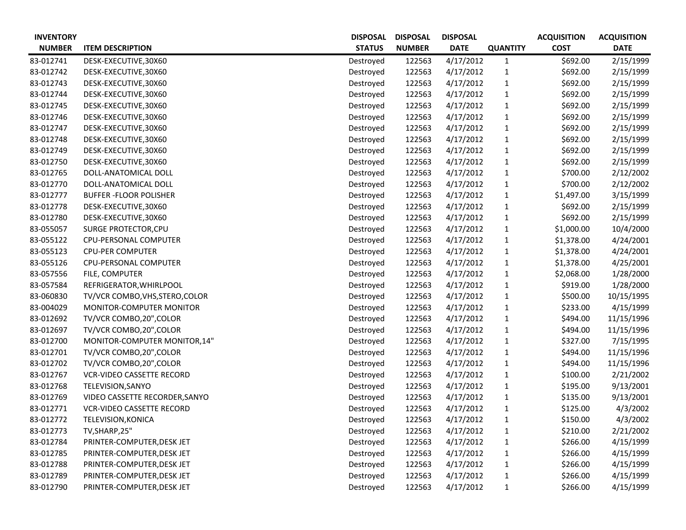| <b>INVENTORY</b> |                                  | <b>DISPOSAL</b> | <b>DISPOSAL</b> | <b>DISPOSAL</b> |                 | <b>ACQUISITION</b> | <b>ACQUISITION</b> |
|------------------|----------------------------------|-----------------|-----------------|-----------------|-----------------|--------------------|--------------------|
| <b>NUMBER</b>    | <b>ITEM DESCRIPTION</b>          | <b>STATUS</b>   | <b>NUMBER</b>   | <b>DATE</b>     | <b>QUANTITY</b> | <b>COST</b>        | <b>DATE</b>        |
| 83-012741        | DESK-EXECUTIVE, 30X60            | Destroyed       | 122563          | 4/17/2012       | $\mathbf{1}$    | \$692.00           | 2/15/1999          |
| 83-012742        | DESK-EXECUTIVE, 30X60            | Destroyed       | 122563          | 4/17/2012       | $\mathbf{1}$    | \$692.00           | 2/15/1999          |
| 83-012743        | DESK-EXECUTIVE,30X60             | Destroyed       | 122563          | 4/17/2012       | $\mathbf{1}$    | \$692.00           | 2/15/1999          |
| 83-012744        | DESK-EXECUTIVE,30X60             | Destroyed       | 122563          | 4/17/2012       | $\mathbf{1}$    | \$692.00           | 2/15/1999          |
| 83-012745        | DESK-EXECUTIVE,30X60             | Destroyed       | 122563          | 4/17/2012       | $\mathbf{1}$    | \$692.00           | 2/15/1999          |
| 83-012746        | DESK-EXECUTIVE,30X60             | Destroyed       | 122563          | 4/17/2012       | $\mathbf{1}$    | \$692.00           | 2/15/1999          |
| 83-012747        | DESK-EXECUTIVE,30X60             | Destroyed       | 122563          | 4/17/2012       | $\mathbf{1}$    | \$692.00           | 2/15/1999          |
| 83-012748        | DESK-EXECUTIVE,30X60             | Destroyed       | 122563          | 4/17/2012       | $\mathbf{1}$    | \$692.00           | 2/15/1999          |
| 83-012749        | DESK-EXECUTIVE,30X60             | Destroyed       | 122563          | 4/17/2012       | $\mathbf{1}$    | \$692.00           | 2/15/1999          |
| 83-012750        | DESK-EXECUTIVE,30X60             | Destroyed       | 122563          | 4/17/2012       | $\mathbf{1}$    | \$692.00           | 2/15/1999          |
| 83-012765        | DOLL-ANATOMICAL DOLL             | Destroyed       | 122563          | 4/17/2012       | $\mathbf{1}$    | \$700.00           | 2/12/2002          |
| 83-012770        | DOLL-ANATOMICAL DOLL             | Destroyed       | 122563          | 4/17/2012       | $\mathbf{1}$    | \$700.00           | 2/12/2002          |
| 83-012777        | <b>BUFFER-FLOOR POLISHER</b>     | Destroyed       | 122563          | 4/17/2012       | $\mathbf{1}$    | \$1,497.00         | 3/15/1999          |
| 83-012778        | DESK-EXECUTIVE, 30X60            | Destroyed       | 122563          | 4/17/2012       | $\mathbf{1}$    | \$692.00           | 2/15/1999          |
| 83-012780        | DESK-EXECUTIVE, 30X60            | Destroyed       | 122563          | 4/17/2012       | $\mathbf{1}$    | \$692.00           | 2/15/1999          |
| 83-055057        | <b>SURGE PROTECTOR, CPU</b>      | Destroyed       | 122563          | 4/17/2012       | $\mathbf{1}$    | \$1,000.00         | 10/4/2000          |
| 83-055122        | CPU-PERSONAL COMPUTER            | Destroyed       | 122563          | 4/17/2012       | $\mathbf{1}$    | \$1,378.00         | 4/24/2001          |
| 83-055123        | <b>CPU-PER COMPUTER</b>          | Destroyed       | 122563          | 4/17/2012       | $\mathbf{1}$    | \$1,378.00         | 4/24/2001          |
| 83-055126        | CPU-PERSONAL COMPUTER            | Destroyed       | 122563          | 4/17/2012       | $\mathbf{1}$    | \$1,378.00         | 4/25/2001          |
| 83-057556        | FILE, COMPUTER                   | Destroyed       | 122563          | 4/17/2012       | $\mathbf{1}$    | \$2,068.00         | 1/28/2000          |
| 83-057584        | REFRIGERATOR, WHIRLPOOL          | Destroyed       | 122563          | 4/17/2012       | $\mathbf{1}$    | \$919.00           | 1/28/2000          |
| 83-060830        | TV/VCR COMBO, VHS, STERO, COLOR  | Destroyed       | 122563          | 4/17/2012       | $\mathbf{1}$    | \$500.00           | 10/15/1995         |
| 83-004029        | MONITOR-COMPUTER MONITOR         | Destroyed       | 122563          | 4/17/2012       | $\mathbf{1}$    | \$233.00           | 4/15/1999          |
| 83-012692        | TV/VCR COMBO, 20", COLOR         | Destroyed       | 122563          | 4/17/2012       | $\mathbf{1}$    | \$494.00           | 11/15/1996         |
| 83-012697        | TV/VCR COMBO, 20", COLOR         | Destroyed       | 122563          | 4/17/2012       | $\mathbf{1}$    | \$494.00           | 11/15/1996         |
| 83-012700        | MONITOR-COMPUTER MONITOR, 14"    | Destroyed       | 122563          | 4/17/2012       | $\mathbf{1}$    | \$327.00           | 7/15/1995          |
| 83-012701        | TV/VCR COMBO, 20", COLOR         | Destroyed       | 122563          | 4/17/2012       | $\mathbf{1}$    | \$494.00           | 11/15/1996         |
| 83-012702        | TV/VCR COMBO, 20", COLOR         | Destroyed       | 122563          | 4/17/2012       | $\mathbf{1}$    | \$494.00           | 11/15/1996         |
| 83-012767        | <b>VCR-VIDEO CASSETTE RECORD</b> | Destroyed       | 122563          | 4/17/2012       | $\mathbf{1}$    | \$100.00           | 2/21/2002          |
| 83-012768        | TELEVISION, SANYO                | Destroyed       | 122563          | 4/17/2012       | $\mathbf{1}$    | \$195.00           | 9/13/2001          |
| 83-012769        | VIDEO CASSETTE RECORDER, SANYO   | Destroyed       | 122563          | 4/17/2012       | $\mathbf{1}$    | \$135.00           | 9/13/2001          |
| 83-012771        | <b>VCR-VIDEO CASSETTE RECORD</b> | Destroyed       | 122563          | 4/17/2012       | $\mathbf{1}$    | \$125.00           | 4/3/2002           |
| 83-012772        | TELEVISION, KONICA               | Destroyed       | 122563          | 4/17/2012       | $\mathbf{1}$    | \$150.00           | 4/3/2002           |
| 83-012773        | TV, SHARP, 25"                   | Destroyed       | 122563          | 4/17/2012       | $\mathbf{1}$    | \$210.00           | 2/21/2002          |
| 83-012784        | PRINTER-COMPUTER, DESK JET       | Destroyed       | 122563          | 4/17/2012       | $\mathbf{1}$    | \$266.00           | 4/15/1999          |
| 83-012785        | PRINTER-COMPUTER, DESK JET       | Destroyed       | 122563          | 4/17/2012       | $\mathbf{1}$    | \$266.00           | 4/15/1999          |
| 83-012788        | PRINTER-COMPUTER, DESK JET       | Destroyed       | 122563          | 4/17/2012       | $\mathbf{1}$    | \$266.00           | 4/15/1999          |
| 83-012789        | PRINTER-COMPUTER, DESK JET       | Destroyed       | 122563          | 4/17/2012       | $\mathbf{1}$    | \$266.00           | 4/15/1999          |
| 83-012790        | PRINTER-COMPUTER, DESK JET       | Destroyed       | 122563          | 4/17/2012       | $\mathbf{1}$    | \$266.00           | 4/15/1999          |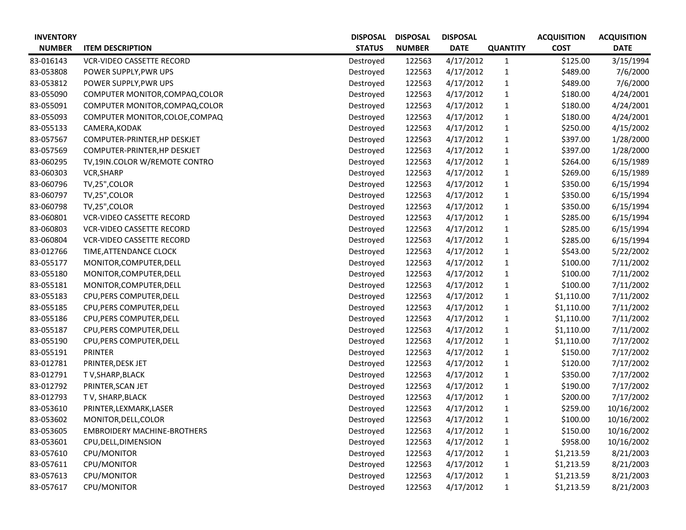| <b>INVENTORY</b> |                                    | <b>DISPOSAL</b> | <b>DISPOSAL</b> | <b>DISPOSAL</b> |                 | <b>ACQUISITION</b> | <b>ACQUISITION</b> |
|------------------|------------------------------------|-----------------|-----------------|-----------------|-----------------|--------------------|--------------------|
| <b>NUMBER</b>    | <b>ITEM DESCRIPTION</b>            | <b>STATUS</b>   | <b>NUMBER</b>   | <b>DATE</b>     | <b>QUANTITY</b> | <b>COST</b>        | <b>DATE</b>        |
| 83-016143        | <b>VCR-VIDEO CASSETTE RECORD</b>   | Destroyed       | 122563          | 4/17/2012       | $\mathbf{1}$    | \$125.00           | 3/15/1994          |
| 83-053808        | POWER SUPPLY, PWR UPS              | Destroyed       | 122563          | 4/17/2012       | $\mathbf{1}$    | \$489.00           | 7/6/2000           |
| 83-053812        | POWER SUPPLY, PWR UPS              | Destroyed       | 122563          | 4/17/2012       | $\mathbf{1}$    | \$489.00           | 7/6/2000           |
| 83-055090        | COMPUTER MONITOR, COMPAQ, COLOR    | Destroyed       | 122563          | 4/17/2012       | $\mathbf{1}$    | \$180.00           | 4/24/2001          |
| 83-055091        | COMPUTER MONITOR, COMPAQ, COLOR    | Destroyed       | 122563          | 4/17/2012       | $\mathbf{1}$    | \$180.00           | 4/24/2001          |
| 83-055093        | COMPUTER MONITOR, COLOE, COMPAQ    | Destroyed       | 122563          | 4/17/2012       | $\mathbf{1}$    | \$180.00           | 4/24/2001          |
| 83-055133        | CAMERA, KODAK                      | Destroyed       | 122563          | 4/17/2012       | $\mathbf{1}$    | \$250.00           | 4/15/2002          |
| 83-057567        | COMPUTER-PRINTER, HP DESKJET       | Destroyed       | 122563          | 4/17/2012       | $\mathbf{1}$    | \$397.00           | 1/28/2000          |
| 83-057569        | COMPUTER-PRINTER, HP DESKJET       | Destroyed       | 122563          | 4/17/2012       | $\mathbf{1}$    | \$397.00           | 1/28/2000          |
| 83-060295        | TV,19IN.COLOR W/REMOTE CONTRO      | Destroyed       | 122563          | 4/17/2012       | $\mathbf{1}$    | \$264.00           | 6/15/1989          |
| 83-060303        | VCR, SHARP                         | Destroyed       | 122563          | 4/17/2012       | $\mathbf{1}$    | \$269.00           | 6/15/1989          |
| 83-060796        | TV,25",COLOR                       | Destroyed       | 122563          | 4/17/2012       | $\mathbf{1}$    | \$350.00           | 6/15/1994          |
| 83-060797        | TV,25", COLOR                      | Destroyed       | 122563          | 4/17/2012       | $\mathbf{1}$    | \$350.00           | 6/15/1994          |
| 83-060798        | TV,25", COLOR                      | Destroyed       | 122563          | 4/17/2012       | $\mathbf{1}$    | \$350.00           | 6/15/1994          |
| 83-060801        | <b>VCR-VIDEO CASSETTE RECORD</b>   | Destroyed       | 122563          | 4/17/2012       | $\mathbf{1}$    | \$285.00           | 6/15/1994          |
| 83-060803        | <b>VCR-VIDEO CASSETTE RECORD</b>   | Destroyed       | 122563          | 4/17/2012       | $\mathbf{1}$    | \$285.00           | 6/15/1994          |
| 83-060804        | <b>VCR-VIDEO CASSETTE RECORD</b>   | Destroyed       | 122563          | 4/17/2012       | $\mathbf{1}$    | \$285.00           | 6/15/1994          |
| 83-012766        | TIME, ATTENDANCE CLOCK             | Destroyed       | 122563          | 4/17/2012       | $\mathbf{1}$    | \$543.00           | 5/22/2002          |
| 83-055177        | MONITOR, COMPUTER, DELL            | Destroyed       | 122563          | 4/17/2012       | $\mathbf{1}$    | \$100.00           | 7/11/2002          |
| 83-055180        | MONITOR, COMPUTER, DELL            | Destroyed       | 122563          | 4/17/2012       | $\mathbf{1}$    | \$100.00           | 7/11/2002          |
| 83-055181        | MONITOR, COMPUTER, DELL            | Destroyed       | 122563          | 4/17/2012       | $\mathbf{1}$    | \$100.00           | 7/11/2002          |
| 83-055183        | CPU, PERS COMPUTER, DELL           | Destroyed       | 122563          | 4/17/2012       | $\mathbf{1}$    | \$1,110.00         | 7/11/2002          |
| 83-055185        | CPU, PERS COMPUTER, DELL           | Destroyed       | 122563          | 4/17/2012       | $\mathbf{1}$    | \$1,110.00         | 7/11/2002          |
| 83-055186        | CPU, PERS COMPUTER, DELL           | Destroyed       | 122563          | 4/17/2012       | $\mathbf{1}$    | \$1,110.00         | 7/11/2002          |
| 83-055187        | CPU, PERS COMPUTER, DELL           | Destroyed       | 122563          | 4/17/2012       | $\mathbf{1}$    | \$1,110.00         | 7/11/2002          |
| 83-055190        | CPU, PERS COMPUTER, DELL           | Destroyed       | 122563          | 4/17/2012       | $\mathbf{1}$    | \$1,110.00         | 7/17/2002          |
| 83-055191        | <b>PRINTER</b>                     | Destroyed       | 122563          | 4/17/2012       | $\mathbf{1}$    | \$150.00           | 7/17/2002          |
| 83-012781        | PRINTER, DESK JET                  | Destroyed       | 122563          | 4/17/2012       | $\mathbf{1}$    | \$120.00           | 7/17/2002          |
| 83-012791        | T V, SHARP, BLACK                  | Destroyed       | 122563          | 4/17/2012       | 1               | \$350.00           | 7/17/2002          |
| 83-012792        | PRINTER, SCAN JET                  | Destroyed       | 122563          | 4/17/2012       | $\mathbf{1}$    | \$190.00           | 7/17/2002          |
| 83-012793        | TV, SHARP, BLACK                   | Destroyed       | 122563          | 4/17/2012       | 1               | \$200.00           | 7/17/2002          |
| 83-053610        | PRINTER, LEXMARK, LASER            | Destroyed       | 122563          | 4/17/2012       | $\mathbf{1}$    | \$259.00           | 10/16/2002         |
| 83-053602        | MONITOR, DELL, COLOR               | Destroyed       | 122563          | 4/17/2012       | $\mathbf{1}$    | \$100.00           | 10/16/2002         |
| 83-053605        | <b>EMBROIDERY MACHINE-BROTHERS</b> | Destroyed       | 122563          | 4/17/2012       | 1               | \$150.00           | 10/16/2002         |
| 83-053601        | CPU, DELL, DIMENSION               | Destroyed       | 122563          | 4/17/2012       | $\mathbf{1}$    | \$958.00           | 10/16/2002         |
| 83-057610        | CPU/MONITOR                        | Destroyed       | 122563          | 4/17/2012       | $\mathbf{1}$    | \$1,213.59         | 8/21/2003          |
| 83-057611        | CPU/MONITOR                        | Destroyed       | 122563          | 4/17/2012       | $\mathbf{1}$    | \$1,213.59         | 8/21/2003          |
| 83-057613        | CPU/MONITOR                        | Destroyed       | 122563          | 4/17/2012       | $\mathbf{1}$    | \$1,213.59         | 8/21/2003          |
| 83-057617        | CPU/MONITOR                        | Destroyed       | 122563          | 4/17/2012       | $\mathbf{1}$    | \$1,213.59         | 8/21/2003          |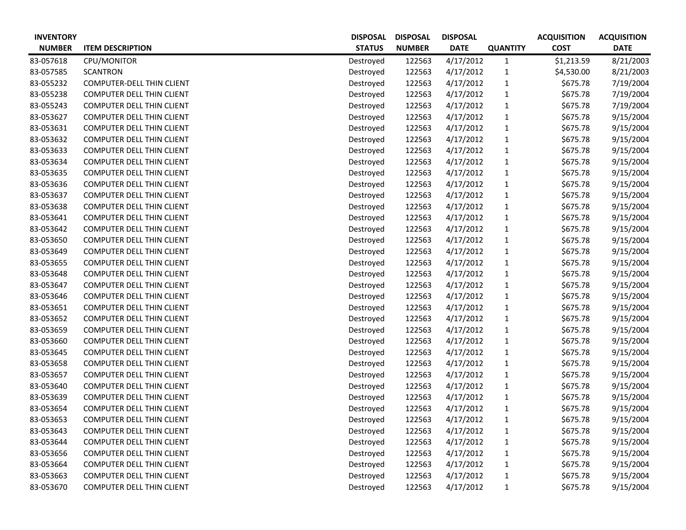| <b>INVENTORY</b> |                                  | <b>DISPOSAL</b> | <b>DISPOSAL</b> | <b>DISPOSAL</b> |                 | <b>ACQUISITION</b> | <b>ACQUISITION</b> |
|------------------|----------------------------------|-----------------|-----------------|-----------------|-----------------|--------------------|--------------------|
| <b>NUMBER</b>    | <b>ITEM DESCRIPTION</b>          | <b>STATUS</b>   | <b>NUMBER</b>   | <b>DATE</b>     | <b>QUANTITY</b> | <b>COST</b>        | <b>DATE</b>        |
| 83-057618        | CPU/MONITOR                      | Destroyed       | 122563          | 4/17/2012       | $\mathbf{1}$    | \$1,213.59         | 8/21/2003          |
| 83-057585        | <b>SCANTRON</b>                  | Destroyed       | 122563          | 4/17/2012       | $\mathbf{1}$    | \$4,530.00         | 8/21/2003          |
| 83-055232        | COMPUTER-DELL THIN CLIENT        | Destroyed       | 122563          | 4/17/2012       | $\mathbf{1}$    | \$675.78           | 7/19/2004          |
| 83-055238        | <b>COMPUTER DELL THIN CLIENT</b> | Destroyed       | 122563          | 4/17/2012       | $\mathbf{1}$    | \$675.78           | 7/19/2004          |
| 83-055243        | COMPUTER DELL THIN CLIENT        | Destroyed       | 122563          | 4/17/2012       | $\mathbf{1}$    | \$675.78           | 7/19/2004          |
| 83-053627        | <b>COMPUTER DELL THIN CLIENT</b> | Destroyed       | 122563          | 4/17/2012       | $\mathbf{1}$    | \$675.78           | 9/15/2004          |
| 83-053631        | <b>COMPUTER DELL THIN CLIENT</b> | Destroyed       | 122563          | 4/17/2012       | $\mathbf{1}$    | \$675.78           | 9/15/2004          |
| 83-053632        | <b>COMPUTER DELL THIN CLIENT</b> | Destroyed       | 122563          | 4/17/2012       | $\mathbf{1}$    | \$675.78           | 9/15/2004          |
| 83-053633        | <b>COMPUTER DELL THIN CLIENT</b> | Destroyed       | 122563          | 4/17/2012       | $\mathbf{1}$    | \$675.78           | 9/15/2004          |
| 83-053634        | COMPUTER DELL THIN CLIENT        | Destroyed       | 122563          | 4/17/2012       | $\mathbf{1}$    | \$675.78           | 9/15/2004          |
| 83-053635        | <b>COMPUTER DELL THIN CLIENT</b> | Destroyed       | 122563          | 4/17/2012       | $\mathbf{1}$    | \$675.78           | 9/15/2004          |
| 83-053636        | <b>COMPUTER DELL THIN CLIENT</b> | Destroyed       | 122563          | 4/17/2012       | $\mathbf{1}$    | \$675.78           | 9/15/2004          |
| 83-053637        | <b>COMPUTER DELL THIN CLIENT</b> | Destroyed       | 122563          | 4/17/2012       | $\mathbf{1}$    | \$675.78           | 9/15/2004          |
| 83-053638        | <b>COMPUTER DELL THIN CLIENT</b> | Destroyed       | 122563          | 4/17/2012       | $\mathbf{1}$    | \$675.78           | 9/15/2004          |
| 83-053641        | <b>COMPUTER DELL THIN CLIENT</b> | Destroyed       | 122563          | 4/17/2012       | $\mathbf{1}$    | \$675.78           | 9/15/2004          |
| 83-053642        | <b>COMPUTER DELL THIN CLIENT</b> | Destroyed       | 122563          | 4/17/2012       | $\mathbf{1}$    | \$675.78           | 9/15/2004          |
| 83-053650        | <b>COMPUTER DELL THIN CLIENT</b> | Destroyed       | 122563          | 4/17/2012       | $\mathbf{1}$    | \$675.78           | 9/15/2004          |
| 83-053649        | <b>COMPUTER DELL THIN CLIENT</b> | Destroyed       | 122563          | 4/17/2012       | $\mathbf{1}$    | \$675.78           | 9/15/2004          |
| 83-053655        | <b>COMPUTER DELL THIN CLIENT</b> | Destroyed       | 122563          | 4/17/2012       | $\mathbf{1}$    | \$675.78           | 9/15/2004          |
| 83-053648        | <b>COMPUTER DELL THIN CLIENT</b> | Destroyed       | 122563          | 4/17/2012       | $\mathbf{1}$    | \$675.78           | 9/15/2004          |
| 83-053647        | <b>COMPUTER DELL THIN CLIENT</b> | Destroyed       | 122563          | 4/17/2012       | $\mathbf{1}$    | \$675.78           | 9/15/2004          |
| 83-053646        | <b>COMPUTER DELL THIN CLIENT</b> | Destroyed       | 122563          | 4/17/2012       | $\mathbf{1}$    | \$675.78           | 9/15/2004          |
| 83-053651        | <b>COMPUTER DELL THIN CLIENT</b> | Destroyed       | 122563          | 4/17/2012       | $\mathbf{1}$    | \$675.78           | 9/15/2004          |
| 83-053652        | <b>COMPUTER DELL THIN CLIENT</b> | Destroyed       | 122563          | 4/17/2012       | $\mathbf{1}$    | \$675.78           | 9/15/2004          |
| 83-053659        | COMPUTER DELL THIN CLIENT        | Destroyed       | 122563          | 4/17/2012       | $\mathbf{1}$    | \$675.78           | 9/15/2004          |
| 83-053660        | <b>COMPUTER DELL THIN CLIENT</b> | Destroyed       | 122563          | 4/17/2012       | $\mathbf{1}$    | \$675.78           | 9/15/2004          |
| 83-053645        | <b>COMPUTER DELL THIN CLIENT</b> | Destroyed       | 122563          | 4/17/2012       | $\mathbf{1}$    | \$675.78           | 9/15/2004          |
| 83-053658        | <b>COMPUTER DELL THIN CLIENT</b> | Destroyed       | 122563          | 4/17/2012       | $\mathbf{1}$    | \$675.78           | 9/15/2004          |
| 83-053657        | <b>COMPUTER DELL THIN CLIENT</b> | Destroyed       | 122563          | 4/17/2012       | $\mathbf{1}$    | \$675.78           | 9/15/2004          |
| 83-053640        | <b>COMPUTER DELL THIN CLIENT</b> | Destroyed       | 122563          | 4/17/2012       | $\mathbf{1}$    | \$675.78           | 9/15/2004          |
| 83-053639        | <b>COMPUTER DELL THIN CLIENT</b> | Destroyed       | 122563          | 4/17/2012       | $\mathbf{1}$    | \$675.78           | 9/15/2004          |
| 83-053654        | <b>COMPUTER DELL THIN CLIENT</b> | Destroyed       | 122563          | 4/17/2012       | $\mathbf{1}$    | \$675.78           | 9/15/2004          |
| 83-053653        | <b>COMPUTER DELL THIN CLIENT</b> | Destroyed       | 122563          | 4/17/2012       | $\mathbf{1}$    | \$675.78           | 9/15/2004          |
| 83-053643        | <b>COMPUTER DELL THIN CLIENT</b> | Destroyed       | 122563          | 4/17/2012       | $\mathbf{1}$    | \$675.78           | 9/15/2004          |
| 83-053644        | COMPUTER DELL THIN CLIENT        | Destroyed       | 122563          | 4/17/2012       | $\mathbf{1}$    | \$675.78           | 9/15/2004          |
| 83-053656        | <b>COMPUTER DELL THIN CLIENT</b> | Destroyed       | 122563          | 4/17/2012       | $\mathbf{1}$    | \$675.78           | 9/15/2004          |
| 83-053664        | <b>COMPUTER DELL THIN CLIENT</b> | Destroyed       | 122563          | 4/17/2012       | $\mathbf{1}$    | \$675.78           | 9/15/2004          |
| 83-053663        | <b>COMPUTER DELL THIN CLIENT</b> | Destroyed       | 122563          | 4/17/2012       | $\mathbf{1}$    | \$675.78           | 9/15/2004          |
| 83-053670        | COMPUTER DELL THIN CLIENT        | Destroyed       | 122563          | 4/17/2012       | $\mathbf{1}$    | \$675.78           | 9/15/2004          |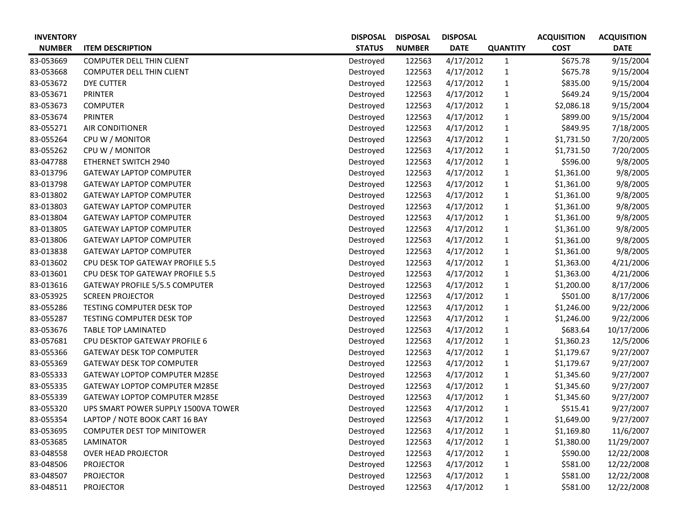| <b>INVENTORY</b> |                                       | <b>DISPOSAL</b> | <b>DISPOSAL</b> | <b>DISPOSAL</b> |                 | <b>ACQUISITION</b> | <b>ACQUISITION</b> |
|------------------|---------------------------------------|-----------------|-----------------|-----------------|-----------------|--------------------|--------------------|
| <b>NUMBER</b>    | <b>ITEM DESCRIPTION</b>               | <b>STATUS</b>   | <b>NUMBER</b>   | <b>DATE</b>     | <b>QUANTITY</b> | <b>COST</b>        | <b>DATE</b>        |
| 83-053669        | <b>COMPUTER DELL THIN CLIENT</b>      | Destroyed       | 122563          | 4/17/2012       | $\mathbf{1}$    | \$675.78           | 9/15/2004          |
| 83-053668        | <b>COMPUTER DELL THIN CLIENT</b>      | Destroyed       | 122563          | 4/17/2012       | $\mathbf{1}$    | \$675.78           | 9/15/2004          |
| 83-053672        | <b>DYE CUTTER</b>                     | Destroyed       | 122563          | 4/17/2012       | $\mathbf{1}$    | \$835.00           | 9/15/2004          |
| 83-053671        | <b>PRINTER</b>                        | Destroyed       | 122563          | 4/17/2012       | $\mathbf{1}$    | \$649.24           | 9/15/2004          |
| 83-053673        | <b>COMPUTER</b>                       | Destroyed       | 122563          | 4/17/2012       | $\mathbf{1}$    | \$2,086.18         | 9/15/2004          |
| 83-053674        | <b>PRINTER</b>                        | Destroyed       | 122563          | 4/17/2012       | $\mathbf{1}$    | \$899.00           | 9/15/2004          |
| 83-055271        | <b>AIR CONDITIONER</b>                | Destroyed       | 122563          | 4/17/2012       | $\mathbf{1}$    | \$849.95           | 7/18/2005          |
| 83-055264        | CPU W / MONITOR                       | Destroyed       | 122563          | 4/17/2012       | $\mathbf{1}$    | \$1,731.50         | 7/20/2005          |
| 83-055262        | CPU W / MONITOR                       | Destroyed       | 122563          | 4/17/2012       | $\mathbf{1}$    | \$1,731.50         | 7/20/2005          |
| 83-047788        | ETHERNET SWITCH 2940                  | Destroyed       | 122563          | 4/17/2012       | $\mathbf{1}$    | \$596.00           | 9/8/2005           |
| 83-013796        | <b>GATEWAY LAPTOP COMPUTER</b>        | Destroyed       | 122563          | 4/17/2012       | $\mathbf{1}$    | \$1,361.00         | 9/8/2005           |
| 83-013798        | <b>GATEWAY LAPTOP COMPUTER</b>        | Destroyed       | 122563          | 4/17/2012       | $\mathbf{1}$    | \$1,361.00         | 9/8/2005           |
| 83-013802        | <b>GATEWAY LAPTOP COMPUTER</b>        | Destroyed       | 122563          | 4/17/2012       | $\mathbf{1}$    | \$1,361.00         | 9/8/2005           |
| 83-013803        | <b>GATEWAY LAPTOP COMPUTER</b>        | Destroyed       | 122563          | 4/17/2012       | $\mathbf{1}$    | \$1,361.00         | 9/8/2005           |
| 83-013804        | <b>GATEWAY LAPTOP COMPUTER</b>        | Destroyed       | 122563          | 4/17/2012       | $\mathbf{1}$    | \$1,361.00         | 9/8/2005           |
| 83-013805        | <b>GATEWAY LAPTOP COMPUTER</b>        | Destroyed       | 122563          | 4/17/2012       | $\mathbf{1}$    | \$1,361.00         | 9/8/2005           |
| 83-013806        | <b>GATEWAY LAPTOP COMPUTER</b>        | Destroyed       | 122563          | 4/17/2012       | $\mathbf{1}$    | \$1,361.00         | 9/8/2005           |
| 83-013838        | <b>GATEWAY LAPTOP COMPUTER</b>        | Destroyed       | 122563          | 4/17/2012       | $\mathbf{1}$    | \$1,361.00         | 9/8/2005           |
| 83-013602        | CPU DESK TOP GATEWAY PROFILE 5.5      | Destroyed       | 122563          | 4/17/2012       | 1               | \$1,363.00         | 4/21/2006          |
| 83-013601        | CPU DESK TOP GATEWAY PROFILE 5.5      | Destroyed       | 122563          | 4/17/2012       | $\mathbf{1}$    | \$1,363.00         | 4/21/2006          |
| 83-013616        | <b>GATEWAY PROFILE 5/5.5 COMPUTER</b> | Destroyed       | 122563          | 4/17/2012       | $\mathbf{1}$    | \$1,200.00         | 8/17/2006          |
| 83-053925        | <b>SCREEN PROJECTOR</b>               | Destroyed       | 122563          | 4/17/2012       | $\mathbf{1}$    | \$501.00           | 8/17/2006          |
| 83-055286        | TESTING COMPUTER DESK TOP             | Destroyed       | 122563          | 4/17/2012       | $\mathbf{1}$    | \$1,246.00         | 9/22/2006          |
| 83-055287        | TESTING COMPUTER DESK TOP             | Destroyed       | 122563          | 4/17/2012       | $\mathbf{1}$    | \$1,246.00         | 9/22/2006          |
| 83-053676        | TABLE TOP LAMINATED                   | Destroyed       | 122563          | 4/17/2012       | $\mathbf{1}$    | \$683.64           | 10/17/2006         |
| 83-057681        | CPU DESKTOP GATEWAY PROFILE 6         | Destroyed       | 122563          | 4/17/2012       | $\mathbf{1}$    | \$1,360.23         | 12/5/2006          |
| 83-055366        | <b>GATEWAY DESK TOP COMPUTER</b>      | Destroyed       | 122563          | 4/17/2012       | $\mathbf{1}$    | \$1,179.67         | 9/27/2007          |
| 83-055369        | <b>GATEWAY DESK TOP COMPUTER</b>      | Destroyed       | 122563          | 4/17/2012       | $\mathbf{1}$    | \$1,179.67         | 9/27/2007          |
| 83-055333        | GATEWAY LOPTOP COMPUTER M285E         | Destroyed       | 122563          | 4/17/2012       | 1               | \$1,345.60         | 9/27/2007          |
| 83-055335        | <b>GATEWAY LOPTOP COMPUTER M285E</b>  | Destroyed       | 122563          | 4/17/2012       | $\mathbf{1}$    | \$1,345.60         | 9/27/2007          |
| 83-055339        | <b>GATEWAY LOPTOP COMPUTER M285E</b>  | Destroyed       | 122563          | 4/17/2012       | 1               | \$1,345.60         | 9/27/2007          |
| 83-055320        | UPS SMART POWER SUPPLY 1500VA TOWER   | Destroyed       | 122563          | 4/17/2012       | $\mathbf{1}$    | \$515.41           | 9/27/2007          |
| 83-055354        | LAPTOP / NOTE BOOK CART 16 BAY        | Destroyed       | 122563          | 4/17/2012       | $\mathbf{1}$    | \$1,649.00         | 9/27/2007          |
| 83-053695        | <b>COMPUTER DEST TOP MINITOWER</b>    | Destroyed       | 122563          | 4/17/2012       | 1               | \$1,169.80         | 11/6/2007          |
| 83-053685        | LAMINATOR                             | Destroyed       | 122563          | 4/17/2012       | $\mathbf{1}$    | \$1,380.00         | 11/29/2007         |
| 83-048558        | <b>OVER HEAD PROJECTOR</b>            | Destroyed       | 122563          | 4/17/2012       | $\mathbf{1}$    | \$590.00           | 12/22/2008         |
| 83-048506        | <b>PROJECTOR</b>                      | Destroyed       | 122563          | 4/17/2012       | 1               | \$581.00           | 12/22/2008         |
| 83-048507        | <b>PROJECTOR</b>                      | Destroyed       | 122563          | 4/17/2012       | $\mathbf{1}$    | \$581.00           | 12/22/2008         |
| 83-048511        | <b>PROJECTOR</b>                      | Destroyed       | 122563          | 4/17/2012       | $\mathbf{1}$    | \$581.00           | 12/22/2008         |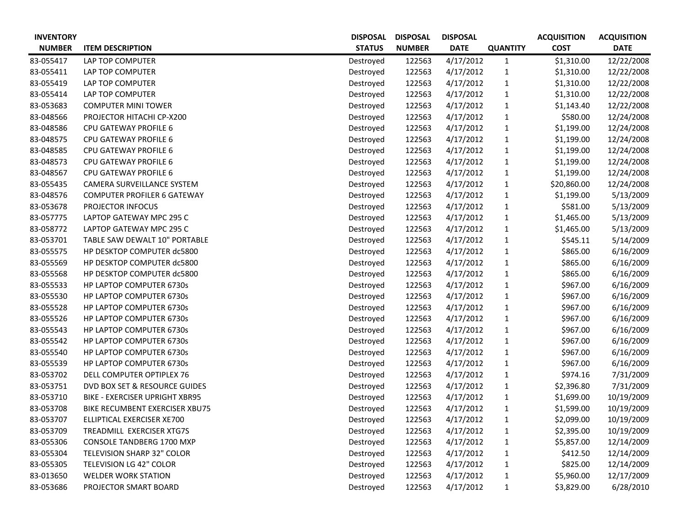| <b>INVENTORY</b> |                                    | <b>DISPOSAL</b> | <b>DISPOSAL</b> | <b>DISPOSAL</b> |                 | <b>ACQUISITION</b> | <b>ACQUISITION</b> |
|------------------|------------------------------------|-----------------|-----------------|-----------------|-----------------|--------------------|--------------------|
| <b>NUMBER</b>    | <b>ITEM DESCRIPTION</b>            | <b>STATUS</b>   | <b>NUMBER</b>   | <b>DATE</b>     | <b>QUANTITY</b> | <b>COST</b>        | <b>DATE</b>        |
| 83-055417        | LAP TOP COMPUTER                   | Destroyed       | 122563          | 4/17/2012       | $\mathbf{1}$    | \$1,310.00         | 12/22/2008         |
| 83-055411        | LAP TOP COMPUTER                   | Destroyed       | 122563          | 4/17/2012       | $\mathbf{1}$    | \$1,310.00         | 12/22/2008         |
| 83-055419        | LAP TOP COMPUTER                   | Destroyed       | 122563          | 4/17/2012       | $\mathbf{1}$    | \$1,310.00         | 12/22/2008         |
| 83-055414        | LAP TOP COMPUTER                   | Destroyed       | 122563          | 4/17/2012       | $\mathbf{1}$    | \$1,310.00         | 12/22/2008         |
| 83-053683        | <b>COMPUTER MINI TOWER</b>         | Destroyed       | 122563          | 4/17/2012       | $\mathbf{1}$    | \$1,143.40         | 12/22/2008         |
| 83-048566        | PROJECTOR HITACHI CP-X200          | Destroyed       | 122563          | 4/17/2012       | $\mathbf{1}$    | \$580.00           | 12/24/2008         |
| 83-048586        | CPU GATEWAY PROFILE 6              | Destroyed       | 122563          | 4/17/2012       | $\mathbf{1}$    | \$1,199.00         | 12/24/2008         |
| 83-048575        | <b>CPU GATEWAY PROFILE 6</b>       | Destroyed       | 122563          | 4/17/2012       | $\mathbf{1}$    | \$1,199.00         | 12/24/2008         |
| 83-048585        | CPU GATEWAY PROFILE 6              | Destroyed       | 122563          | 4/17/2012       | $\mathbf{1}$    | \$1,199.00         | 12/24/2008         |
| 83-048573        | <b>CPU GATEWAY PROFILE 6</b>       | Destroyed       | 122563          | 4/17/2012       | $\mathbf{1}$    | \$1,199.00         | 12/24/2008         |
| 83-048567        | CPU GATEWAY PROFILE 6              | Destroyed       | 122563          | 4/17/2012       | $\mathbf{1}$    | \$1,199.00         | 12/24/2008         |
| 83-055435        | CAMERA SURVEILLANCE SYSTEM         | Destroyed       | 122563          | 4/17/2012       | $\mathbf{1}$    | \$20,860.00        | 12/24/2008         |
| 83-048576        | <b>COMPUTER PROFILER 6 GATEWAY</b> | Destroyed       | 122563          | 4/17/2012       | $\mathbf{1}$    | \$1,199.00         | 5/13/2009          |
| 83-053678        | PROJECTOR INFOCUS                  | Destroyed       | 122563          | 4/17/2012       | $\mathbf{1}$    | \$581.00           | 5/13/2009          |
| 83-057775        | LAPTOP GATEWAY MPC 295 C           | Destroyed       | 122563          | 4/17/2012       | $\mathbf{1}$    | \$1,465.00         | 5/13/2009          |
| 83-058772        | LAPTOP GATEWAY MPC 295 C           | Destroyed       | 122563          | 4/17/2012       | $\mathbf{1}$    | \$1,465.00         | 5/13/2009          |
| 83-053701        | TABLE SAW DEWALT 10" PORTABLE      | Destroyed       | 122563          | 4/17/2012       | $\mathbf{1}$    | \$545.11           | 5/14/2009          |
| 83-055575        | HP DESKTOP COMPUTER dc5800         | Destroyed       | 122563          | 4/17/2012       | $\mathbf{1}$    | \$865.00           | 6/16/2009          |
| 83-055569        | HP DESKTOP COMPUTER dc5800         | Destroyed       | 122563          | 4/17/2012       | $\mathbf{1}$    | \$865.00           | 6/16/2009          |
| 83-055568        | HP DESKTOP COMPUTER dc5800         | Destroyed       | 122563          | 4/17/2012       | $\mathbf{1}$    | \$865.00           | 6/16/2009          |
| 83-055533        | HP LAPTOP COMPUTER 6730s           | Destroyed       | 122563          | 4/17/2012       | $\mathbf{1}$    | \$967.00           | 6/16/2009          |
| 83-055530        | HP LAPTOP COMPUTER 6730s           | Destroyed       | 122563          | 4/17/2012       | $\mathbf{1}$    | \$967.00           | 6/16/2009          |
| 83-055528        | HP LAPTOP COMPUTER 6730s           | Destroyed       | 122563          | 4/17/2012       | $\mathbf{1}$    | \$967.00           | 6/16/2009          |
| 83-055526        | HP LAPTOP COMPUTER 6730s           | Destroyed       | 122563          | 4/17/2012       | $\mathbf{1}$    | \$967.00           | 6/16/2009          |
| 83-055543        | HP LAPTOP COMPUTER 6730s           | Destroyed       | 122563          | 4/17/2012       | $\mathbf{1}$    | \$967.00           | 6/16/2009          |
| 83-055542        | HP LAPTOP COMPUTER 6730s           | Destroyed       | 122563          | 4/17/2012       | $\mathbf{1}$    | \$967.00           | 6/16/2009          |
| 83-055540        | HP LAPTOP COMPUTER 6730s           | Destroyed       | 122563          | 4/17/2012       | $\mathbf{1}$    | \$967.00           | 6/16/2009          |
| 83-055539        | HP LAPTOP COMPUTER 6730s           | Destroyed       | 122563          | 4/17/2012       | $\mathbf{1}$    | \$967.00           | 6/16/2009          |
| 83-053702        | DELL COMPUTER OPTIPLEX 76          | Destroyed       | 122563          | 4/17/2012       | $\mathbf{1}$    | \$974.16           | 7/31/2009          |
| 83-053751        | DVD BOX SET & RESOURCE GUIDES      | Destroyed       | 122563          | 4/17/2012       | $\mathbf{1}$    | \$2,396.80         | 7/31/2009          |
| 83-053710        | BIKE - EXERCISER UPRIGHT XBR95     | Destroyed       | 122563          | 4/17/2012       | 1               | \$1,699.00         | 10/19/2009         |
| 83-053708        | BIKE RECUMBENT EXERCISER XBU75     | Destroyed       | 122563          | 4/17/2012       | $\mathbf{1}$    | \$1,599.00         | 10/19/2009         |
| 83-053707        | ELLIPTICAL EXERCISER XE700         | Destroyed       | 122563          | 4/17/2012       | $\mathbf{1}$    | \$2,099.00         | 10/19/2009         |
| 83-053709        | TREADMILL EXERCISER XTG7S          | Destroyed       | 122563          | 4/17/2012       | $\mathbf{1}$    | \$2,395.00         | 10/19/2009         |
| 83-055306        | <b>CONSOLE TANDBERG 1700 MXP</b>   | Destroyed       | 122563          | 4/17/2012       | $\mathbf{1}$    | \$5,857.00         | 12/14/2009         |
| 83-055304        | TELEVISION SHARP 32" COLOR         | Destroyed       | 122563          | 4/17/2012       | $\mathbf{1}$    | \$412.50           | 12/14/2009         |
| 83-055305        | <b>TELEVISION LG 42" COLOR</b>     | Destroyed       | 122563          | 4/17/2012       | $\mathbf{1}$    | \$825.00           | 12/14/2009         |
| 83-013650        | <b>WELDER WORK STATION</b>         | Destroyed       | 122563          | 4/17/2012       | $\mathbf{1}$    | \$5,960.00         | 12/17/2009         |
| 83-053686        | PROJECTOR SMART BOARD              | Destroyed       | 122563          | 4/17/2012       | $\mathbf{1}$    | \$3,829.00         | 6/28/2010          |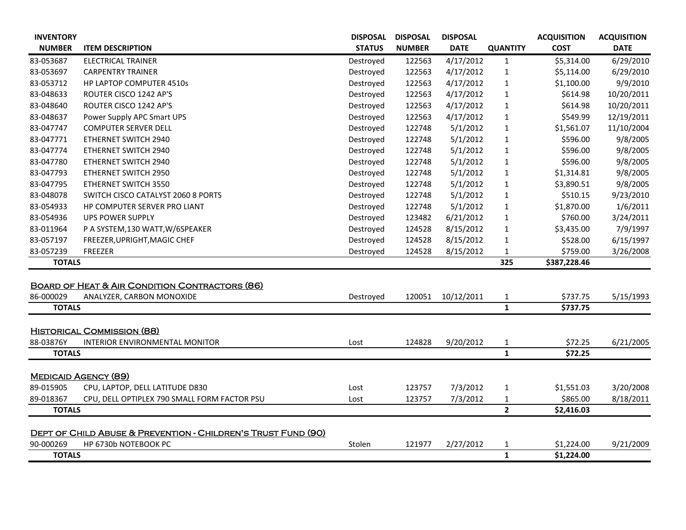| <b>INVENTORY</b> |                                                                          | <b>DISPOSAL</b> | <b>DISPOSAL</b> | <b>DISPOSAL</b> |                 | <b>ACQUISITION</b> | <b>ACQUISITION</b> |
|------------------|--------------------------------------------------------------------------|-----------------|-----------------|-----------------|-----------------|--------------------|--------------------|
| <b>NUMBER</b>    | <b>ITEM DESCRIPTION</b>                                                  | <b>STATUS</b>   | <b>NUMBER</b>   | <b>DATE</b>     | <b>QUANTITY</b> | <b>COST</b>        | <b>DATE</b>        |
| 83-053687        | <b>ELECTRICAL TRAINER</b>                                                | Destroyed       | 122563          | 4/17/2012       | 1               | \$5,314.00         | 6/29/2010          |
| 83-053697        | <b>CARPENTRY TRAINER</b>                                                 | Destroyed       | 122563          | 4/17/2012       | 1               | \$5,114.00         | 6/29/2010          |
| 83-053712        | HP LAPTOP COMPUTER 4510s                                                 | Destroyed       | 122563          | 4/17/2012       | $\mathbf{1}$    | \$1,100.00         | 9/9/2010           |
| 83-048633        | ROUTER CISCO 1242 AP'S                                                   | Destroyed       | 122563          | 4/17/2012       | 1               | \$614.98           | 10/20/2011         |
| 83-048640        | ROUTER CISCO 1242 AP'S                                                   | Destroyed       | 122563          | 4/17/2012       | $\mathbf{1}$    | \$614.98           | 10/20/2011         |
| 83-048637        | Power Supply APC Smart UPS                                               | Destroyed       | 122563          | 4/17/2012       | $\mathbf{1}$    | \$549.99           | 12/19/2011         |
| 83-047747        | <b>COMPUTER SERVER DELL</b>                                              | Destroyed       | 122748          | 5/1/2012        | 1               | \$1,561.07         | 11/10/2004         |
| 83-047771        | ETHERNET SWITCH 2940                                                     | Destroyed       | 122748          | 5/1/2012        | $\mathbf{1}$    | \$596.00           | 9/8/2005           |
| 83-047774        | <b>ETHERNET SWITCH 2940</b>                                              | Destroyed       | 122748          | 5/1/2012        | 1               | \$596.00           | 9/8/2005           |
| 83-047780        | ETHERNET SWITCH 2940                                                     | Destroyed       | 122748          | 5/1/2012        | 1               | \$596.00           | 9/8/2005           |
| 83-047793        | <b>ETHERNET SWITCH 2950</b>                                              | Destroyed       | 122748          | 5/1/2012        | $\mathbf{1}$    | \$1,314.81         | 9/8/2005           |
| 83-047795        | ETHERNET SWITCH 3550                                                     | Destroyed       | 122748          | 5/1/2012        | 1               | \$3,890.51         | 9/8/2005           |
| 83-048078        | SWITCH CISCO CATALYST 2060 8 PORTS                                       | Destroyed       | 122748          | 5/1/2012        | $\mathbf{1}$    | \$510.15           | 9/23/2010          |
| 83-054933        | HP COMPUTER SERVER PRO LIANT                                             | Destroyed       | 122748          | 5/1/2012        | 1               | \$1,870.00         | 1/6/2011           |
| 83-054936        | <b>UPS POWER SUPPLY</b>                                                  | Destroyed       | 123482          | 6/21/2012       | $\mathbf{1}$    | \$760.00           | 3/24/2011          |
| 83-011964        | P A SYSTEM, 130 WATT, W/6SPEAKER                                         | Destroyed       | 124528          | 8/15/2012       | 1               | \$3,435.00         | 7/9/1997           |
| 83-057197        | FREEZER, UPRIGHT, MAGIC CHEF                                             | Destroyed       | 124528          | 8/15/2012       | 1               | \$528.00           | 6/15/1997          |
| 83-057239        | FREEZER                                                                  | Destroyed       | 124528          | 8/15/2012       | $\mathbf{1}$    | \$759.00           | 3/26/2008          |
| <b>TOTALS</b>    |                                                                          |                 |                 |                 | 325             | \$387,228.46       |                    |
|                  |                                                                          |                 |                 |                 |                 |                    |                    |
|                  | <b>BOARD OF HEAT &amp; AIR CONDITION CONTRACTORS (86)</b>                |                 |                 |                 |                 |                    |                    |
| 86-000029        | ANALYZER, CARBON MONOXIDE                                                | Destroyed       | 120051          | 10/12/2011      | $\mathbf{1}$    | \$737.75           | 5/15/1993          |
| <b>TOTALS</b>    |                                                                          |                 |                 |                 | $\mathbf{1}$    | \$737.75           |                    |
|                  |                                                                          |                 |                 |                 |                 |                    |                    |
|                  | <b>HISTORICAL COMMISSION (88)</b>                                        |                 |                 |                 |                 |                    |                    |
| 88-03876Y        | <b>INTERIOR ENVIRONMENTAL MONITOR</b>                                    | Lost            | 124828          | 9/20/2012       | 1               | \$72.25            | 6/21/2005          |
| <b>TOTALS</b>    |                                                                          |                 |                 |                 | $\mathbf{1}$    | \$72.25            |                    |
|                  | <b>MEDICAID AGENCY (89)</b>                                              |                 |                 |                 |                 |                    |                    |
| 89-015905        | CPU, LAPTOP, DELL LATITUDE D830                                          | Lost            | 123757          | 7/3/2012        | 1               | \$1,551.03         | 3/20/2008          |
| 89-018367        | CPU, DELL OPTIPLEX 790 SMALL FORM FACTOR PSU                             | Lost            | 123757          | 7/3/2012        |                 | \$865.00           | 8/18/2011          |
| <b>TOTALS</b>    |                                                                          |                 |                 |                 | $\mathbf{2}$    | \$2,416.03         |                    |
|                  |                                                                          |                 |                 |                 |                 |                    |                    |
|                  | <b>DEPT OF CHILD ABUSE &amp; PREVENTION - CHILDREN'S TRUST FUND (90)</b> |                 |                 |                 |                 |                    |                    |
| 90-000269        | HP 6730b NOTEBOOK PC                                                     | Stolen          | 121977          | 2/27/2012       | $\mathbf{1}$    | \$1,224.00         | 9/21/2009          |
| <b>TOTALS</b>    |                                                                          |                 |                 |                 | $\mathbf{1}$    | \$1,224.00         |                    |
|                  |                                                                          |                 |                 |                 |                 |                    |                    |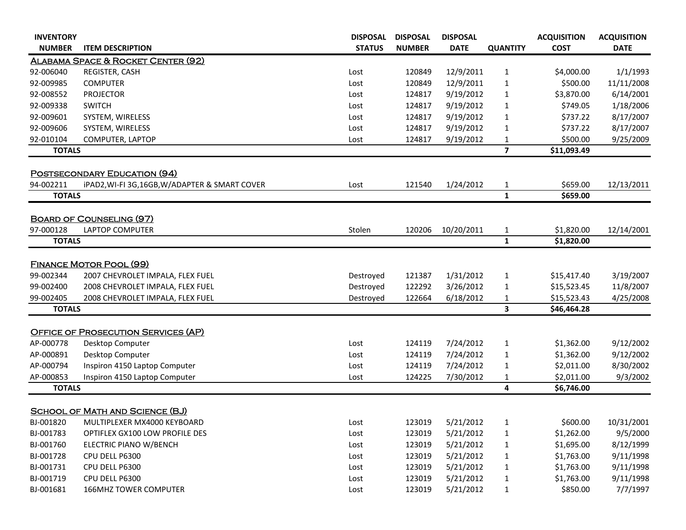| <b>INVENTORY</b> |                                                | <b>DISPOSAL</b> | <b>DISPOSAL</b> | <b>DISPOSAL</b> |                 | <b>ACQUISITION</b> | <b>ACQUISITION</b> |
|------------------|------------------------------------------------|-----------------|-----------------|-----------------|-----------------|--------------------|--------------------|
| <b>NUMBER</b>    | <b>ITEM DESCRIPTION</b>                        | <b>STATUS</b>   | <b>NUMBER</b>   | <b>DATE</b>     | <b>QUANTITY</b> | <b>COST</b>        | <b>DATE</b>        |
|                  | ALABAMA SPACE & ROCKET CENTER (92)             |                 |                 |                 |                 |                    |                    |
| 92-006040        | REGISTER, CASH                                 | Lost            | 120849          | 12/9/2011       | $\mathbf{1}$    | \$4,000.00         | 1/1/1993           |
| 92-009985        | <b>COMPUTER</b>                                | Lost            | 120849          | 12/9/2011       | $\mathbf{1}$    | \$500.00           | 11/11/2008         |
| 92-008552        | <b>PROJECTOR</b>                               | Lost            | 124817          | 9/19/2012       | $\mathbf{1}$    | \$3,870.00         | 6/14/2001          |
| 92-009338        | <b>SWITCH</b>                                  | Lost            | 124817          | 9/19/2012       | $\mathbf 1$     | \$749.05           | 1/18/2006          |
| 92-009601        | SYSTEM, WIRELESS                               | Lost            | 124817          | 9/19/2012       | 1               | \$737.22           | 8/17/2007          |
| 92-009606        | SYSTEM, WIRELESS                               | Lost            | 124817          | 9/19/2012       | $\mathbf 1$     | \$737.22           | 8/17/2007          |
| 92-010104        | COMPUTER, LAPTOP                               | Lost            | 124817          | 9/19/2012       | $\mathbf{1}$    | \$500.00           | 9/25/2009          |
| <b>TOTALS</b>    |                                                |                 |                 |                 | $\overline{7}$  | \$11,093.49        |                    |
|                  | <b>POSTSECONDARY EDUCATION (94)</b>            |                 |                 |                 |                 |                    |                    |
| 94-002211        | iPAD2, WI-FI 3G, 16GB, W/ADAPTER & SMART COVER | Lost            | 121540          | 1/24/2012       | $\mathbf{1}$    | \$659.00           | 12/13/2011         |
| <b>TOTALS</b>    |                                                |                 |                 |                 | $\mathbf{1}$    | \$659.00           |                    |
|                  |                                                |                 |                 |                 |                 |                    |                    |
|                  | <b>BOARD OF COUNSELING (97)</b>                |                 |                 |                 |                 |                    |                    |
| 97-000128        | <b>LAPTOP COMPUTER</b>                         | Stolen          | 120206          | 10/20/2011      | $\mathbf{1}$    | \$1,820.00         | 12/14/2001         |
| <b>TOTALS</b>    |                                                |                 |                 |                 | $\mathbf{1}$    | \$1,820.00         |                    |
|                  |                                                |                 |                 |                 |                 |                    |                    |
|                  | <b>FINANCE MOTOR POOL (99)</b>                 |                 |                 |                 |                 |                    |                    |
| 99-002344        | 2007 CHEVROLET IMPALA, FLEX FUEL               | Destroyed       | 121387          | 1/31/2012       | $\mathbf{1}$    | \$15,417.40        | 3/19/2007          |
| 99-002400        | 2008 CHEVROLET IMPALA, FLEX FUEL               | Destroyed       | 122292          | 3/26/2012       | $\mathbf 1$     | \$15,523.45        | 11/8/2007          |
| 99-002405        | 2008 CHEVROLET IMPALA, FLEX FUEL               | Destroyed       | 122664          | 6/18/2012       | 1               | \$15,523.43        | 4/25/2008          |
| <b>TOTALS</b>    |                                                |                 |                 |                 | 3               | \$46,464.28        |                    |
|                  | <b>OFFICE OF PROSECUTION SERVICES (AP)</b>     |                 |                 |                 |                 |                    |                    |
| AP-000778        | Desktop Computer                               | Lost            | 124119          | 7/24/2012       | $\mathbf{1}$    | \$1,362.00         | 9/12/2002          |
| AP-000891        | Desktop Computer                               | Lost            | 124119          | 7/24/2012       | $\mathbf{1}$    | \$1,362.00         | 9/12/2002          |
| AP-000794        | Inspiron 4150 Laptop Computer                  | Lost            | 124119          | 7/24/2012       | 1               | \$2,011.00         | 8/30/2002          |
| AP-000853        | Inspiron 4150 Laptop Computer                  | Lost            | 124225          | 7/30/2012       | 1               | \$2,011.00         | 9/3/2002           |
| <b>TOTALS</b>    |                                                |                 |                 |                 | 4               | \$6,746.00         |                    |
|                  |                                                |                 |                 |                 |                 |                    |                    |
|                  | <b>SCHOOL OF MATH AND SCIENCE (BJ)</b>         |                 |                 |                 |                 |                    |                    |
| BJ-001820        | MULTIPLEXER MX4000 KEYBOARD                    | Lost            | 123019          | 5/21/2012       | $\mathbf{1}$    | \$600.00           | 10/31/2001         |
| BJ-001783        | OPTIFLEX GX100 LOW PROFILE DES                 | Lost            | 123019          | 5/21/2012       | $\mathbf{1}$    | \$1,262.00         | 9/5/2000           |
| BJ-001760        | ELECTRIC PIANO W/BENCH                         | Lost            | 123019          | 5/21/2012       | $\mathbf{1}$    | \$1,695.00         | 8/12/1999          |
| BJ-001728        | CPU DELL P6300                                 | Lost            | 123019          | 5/21/2012       | $\mathbf{1}$    | \$1,763.00         | 9/11/1998          |
| BJ-001731        | CPU DELL P6300                                 | Lost            | 123019          | 5/21/2012       | $\mathbf{1}$    | \$1,763.00         | 9/11/1998          |
| BJ-001719        | CPU DELL P6300                                 | Lost            | 123019          | 5/21/2012       | $\mathbf{1}$    | \$1,763.00         | 9/11/1998          |
| BJ-001681        | <b>166MHZ TOWER COMPUTER</b>                   | Lost            | 123019          | 5/21/2012       | $\mathbf{1}$    | \$850.00           | 7/7/1997           |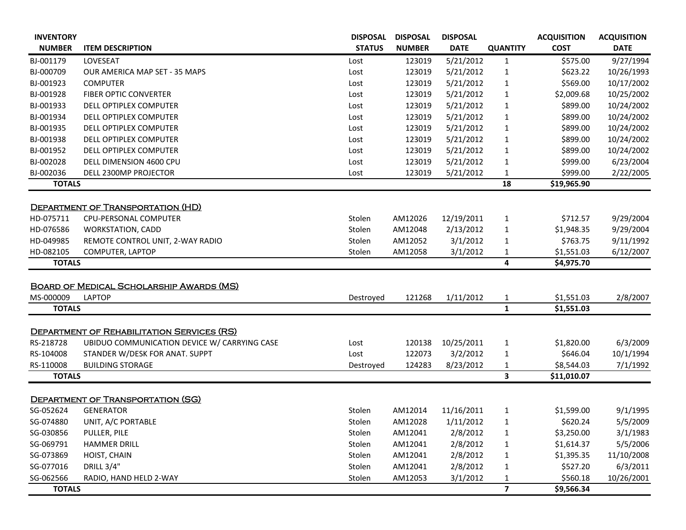| <b>INVENTORY</b>           |                                                   | <b>DISPOSAL</b> | <b>DISPOSAL</b> | <b>DISPOSAL</b> |                              | <b>ACQUISITION</b>       | <b>ACQUISITION</b> |
|----------------------------|---------------------------------------------------|-----------------|-----------------|-----------------|------------------------------|--------------------------|--------------------|
| <b>NUMBER</b>              | <b>ITEM DESCRIPTION</b>                           | <b>STATUS</b>   | <b>NUMBER</b>   | <b>DATE</b>     | <b>QUANTITY</b>              | <b>COST</b>              | <b>DATE</b>        |
| BJ-001179                  | LOVESEAT                                          | Lost            | 123019          | 5/21/2012       | $\mathbf{1}$                 | \$575.00                 | 9/27/1994          |
| BJ-000709                  | <b>OUR AMERICA MAP SET - 35 MAPS</b>              | Lost            | 123019          | 5/21/2012       | $\mathbf{1}$                 | \$623.22                 | 10/26/1993         |
| BJ-001923                  | <b>COMPUTER</b>                                   | Lost            | 123019          | 5/21/2012       | $\mathbf{1}$                 | \$569.00                 | 10/17/2002         |
| BJ-001928                  | <b>FIBER OPTIC CONVERTER</b>                      | Lost            | 123019          | 5/21/2012       | 1                            | \$2,009.68               | 10/25/2002         |
| BJ-001933                  | <b>DELL OPTIPLEX COMPUTER</b>                     | Lost            | 123019          | 5/21/2012       | $\mathbf{1}$                 | \$899.00                 | 10/24/2002         |
| BJ-001934                  | <b>DELL OPTIPLEX COMPUTER</b>                     | Lost            | 123019          | 5/21/2012       | $\mathbf{1}$                 | \$899.00                 | 10/24/2002         |
| BJ-001935                  | <b>DELL OPTIPLEX COMPUTER</b>                     | Lost            | 123019          | 5/21/2012       | $\mathbf{1}$                 | \$899.00                 | 10/24/2002         |
| BJ-001938                  | DELL OPTIPLEX COMPUTER                            | Lost            | 123019          | 5/21/2012       | $\mathbf{1}$                 | \$899.00                 | 10/24/2002         |
| BJ-001952                  | DELL OPTIPLEX COMPUTER                            | Lost            | 123019          | 5/21/2012       | 1                            | \$899.00                 | 10/24/2002         |
| BJ-002028                  | DELL DIMENSION 4600 CPU                           | Lost            | 123019          | 5/21/2012       | $\mathbf{1}$                 | \$999.00                 | 6/23/2004          |
| BJ-002036                  | DELL 2300MP PROJECTOR                             | Lost            | 123019          | 5/21/2012       | $\mathbf{1}$                 | \$999.00                 | 2/22/2005          |
| <b>TOTALS</b>              |                                                   |                 |                 |                 | 18                           | \$19,965.90              |                    |
|                            |                                                   |                 |                 |                 |                              |                          |                    |
|                            | <b>DEPARTMENT OF TRANSPORTATION (HD)</b>          |                 |                 |                 |                              |                          |                    |
| HD-075711                  | CPU-PERSONAL COMPUTER                             | Stolen          | AM12026         | 12/19/2011      | $\mathbf{1}$                 | \$712.57                 | 9/29/2004          |
| HD-076586                  | <b>WORKSTATION, CADD</b>                          | Stolen          | AM12048         | 2/13/2012       | $\mathbf{1}$                 | \$1,948.35               | 9/29/2004          |
| HD-049985                  | REMOTE CONTROL UNIT, 2-WAY RADIO                  | Stolen          | AM12052         | 3/1/2012        | $\mathbf{1}$                 | \$763.75                 | 9/11/1992          |
| HD-082105                  | COMPUTER, LAPTOP                                  | Stolen          | AM12058         | 3/1/2012        | 1                            | \$1,551.03               | 6/12/2007          |
| <b>TOTALS</b>              |                                                   |                 |                 |                 | 4                            | \$4,975.70               |                    |
|                            |                                                   |                 |                 |                 |                              |                          |                    |
|                            | <b>BOARD OF MEDICAL SCHOLARSHIP AWARDS (MS)</b>   |                 |                 |                 |                              |                          |                    |
| MS-000009<br><b>TOTALS</b> | <b>LAPTOP</b>                                     | Destroyed       | 121268          | 1/11/2012       | $\mathbf{1}$<br>$\mathbf{1}$ | \$1,551.03<br>\$1,551.03 | 2/8/2007           |
|                            |                                                   |                 |                 |                 |                              |                          |                    |
|                            | <b>DEPARTMENT OF REHABILITATION SERVICES (RS)</b> |                 |                 |                 |                              |                          |                    |
| RS-218728                  | UBIDUO COMMUNICATION DEVICE W/ CARRYING CASE      | Lost            | 120138          | 10/25/2011      | $\mathbf{1}$                 | \$1,820.00               | 6/3/2009           |
| RS-104008                  | STANDER W/DESK FOR ANAT. SUPPT                    | Lost            | 122073          | 3/2/2012        | $\mathbf{1}$                 | \$646.04                 | 10/1/1994          |
| RS-110008                  | <b>BUILDING STORAGE</b>                           | Destroyed       | 124283          | 8/23/2012       | 1                            | \$8,544.03               | 7/1/1992           |
| <b>TOTALS</b>              |                                                   |                 |                 |                 | 3                            | \$11,010.07              |                    |
|                            |                                                   |                 |                 |                 |                              |                          |                    |
|                            | <b>DEPARTMENT OF TRANSPORTATION (SG)</b>          |                 |                 |                 |                              |                          |                    |
| SG-052624                  | <b>GENERATOR</b>                                  | Stolen          | AM12014         | 11/16/2011      | $\mathbf{1}$                 | \$1,599.00               | 9/1/1995           |
| SG-074880                  | UNIT, A/C PORTABLE                                | Stolen          | AM12028         | 1/11/2012       | $\mathbf{1}$                 | \$620.24                 | 5/5/2009           |
| SG-030856                  | PULLER, PILE                                      | Stolen          | AM12041         | 2/8/2012        | $\mathbf{1}$                 | \$3,250.00               | 3/1/1983           |
| SG-069791                  | <b>HAMMER DRILL</b>                               | Stolen          | AM12041         | 2/8/2012        | $\mathbf{1}$                 | \$1,614.37               | 5/5/2006           |
| SG-073869                  | HOIST, CHAIN                                      | Stolen          | AM12041         | 2/8/2012        | $\mathbf{1}$                 | \$1,395.35               | 11/10/2008         |
| SG-077016                  | <b>DRILL 3/4"</b>                                 | Stolen          | AM12041         | 2/8/2012        | $\mathbf{1}$                 | \$527.20                 | 6/3/2011           |
| SG-062566                  | RADIO, HAND HELD 2-WAY                            | Stolen          | AM12053         | 3/1/2012        | $\mathbf{1}$                 | \$560.18                 | 10/26/2001         |
| <b>TOTALS</b>              |                                                   |                 |                 |                 | $\overline{\mathbf{z}}$      | \$9,566.34               |                    |